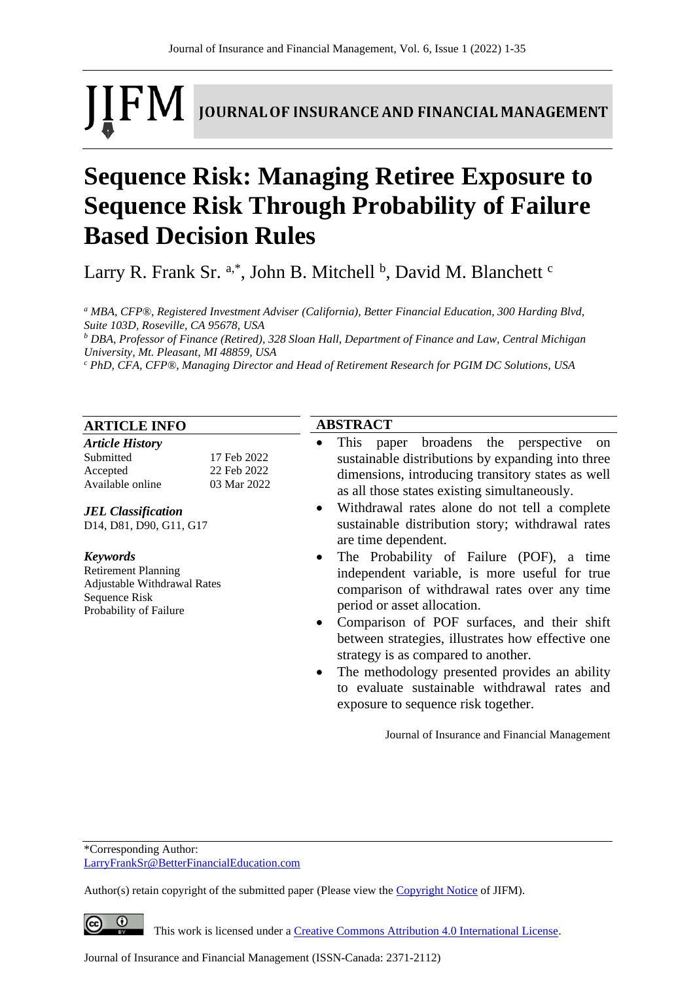# **IFM** JOURNAL OF INSURANCE AND FINANCIAL MANAGEMENT

## **Sequence Risk: Managing Retiree Exposure to Sequence Risk Through Probability of Failure Based Decision Rules**

Larry R. Frank Sr. a,\*, John B. Mitchell <sup>b</sup>, David M. Blanchett <sup>c</sup>

*<sup>a</sup> MBA, CFP®, Registered Investment Adviser (California), Better Financial Education, 300 Harding Blvd, Suite 103D, Roseville, CA 95678, USA*

*<sup>b</sup> DBA, Professor of Finance (Retired), 328 Sloan Hall, Department of Finance and Law, Central Michigan University, Mt. Pleasant, MI 48859, USA*

**ABSTRACT**

*<sup>c</sup> PhD, CFA, CFP®, Managing Director and Head of Retirement Research for PGIM DC Solutions, USA*

#### **ARTICLE INFO**

| <b>Article History</b> |             |
|------------------------|-------------|
| Submitted              | 17 Feb 2022 |
| Accepted               | 22 Feb 2022 |
| Available online       | 03 Mar 2022 |

*JEL Classification* D14, D81, D90, G11, G17

#### *Keywords*

Retirement Planning Adjustable Withdrawal Rates Sequence Risk Probability of Failure

#### This paper broadens the perspective on sustainable distributions by expanding into three dimensions, introducing transitory states as well as all those states existing simultaneously.

- Withdrawal rates alone do not tell a complete sustainable distribution story; withdrawal rates are time dependent.
- The Probability of Failure (POF), a time independent variable, is more useful for true comparison of withdrawal rates over any time period or asset allocation.
- Comparison of POF surfaces, and their shift between strategies, illustrates how effective one strategy is as compared to another.
- The methodology presented provides an ability to evaluate sustainable withdrawal rates and exposure to sequence risk together.

Journal of Insurance and Financial Management

\*Corresponding Author: [LarryFrankSr@BetterFinancialEducation.com](mailto:LarryFrankSr@BetterFinancialEducation.com)

Author(s) retain copyright of the submitted paper (Please view th[e Copyright Notice](http://www.journal-of-insurance-and-financial-management.com/index.php/JIFM/about/submissions#copyrightNotice) of JIFM).

 $\overline{0}$ 

This work is licensed under a [Creative Commons Attribution 4.0 International License.](http://creativecommons.org/licenses/by/4.0/)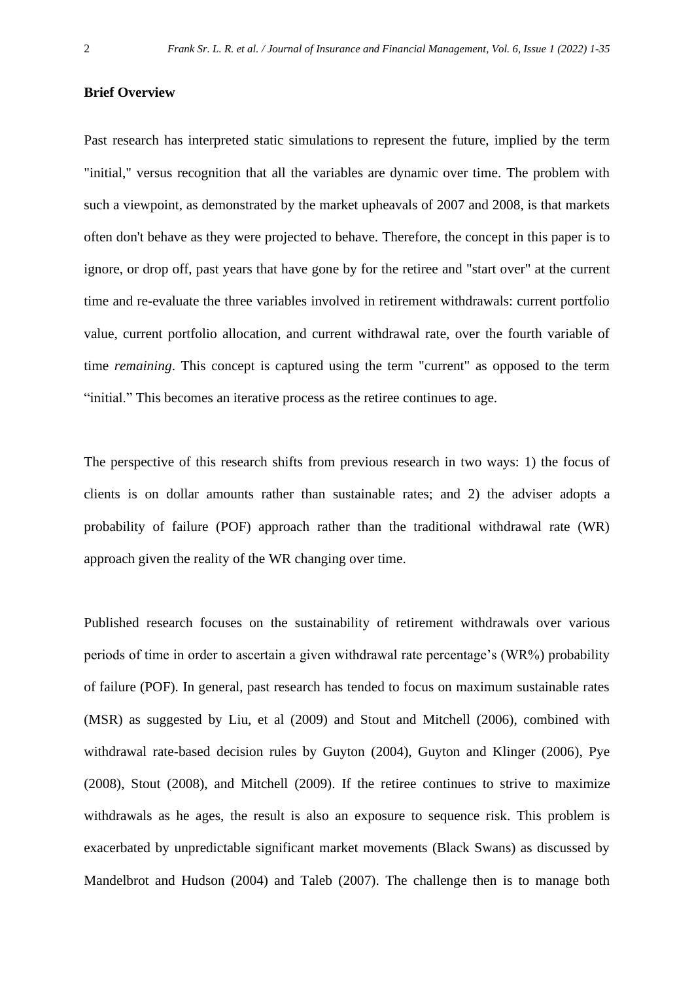#### **Brief Overview**

Past research has interpreted static simulations to represent the future, implied by the term "initial," versus recognition that all the variables are dynamic over time. The problem with such a viewpoint, as demonstrated by the market upheavals of 2007 and 2008, is that markets often don't behave as they were projected to behave. Therefore, the concept in this paper is to ignore, or drop off, past years that have gone by for the retiree and "start over" at the current time and re-evaluate the three variables involved in retirement withdrawals: current portfolio value, current portfolio allocation, and current withdrawal rate, over the fourth variable of time *remaining*. This concept is captured using the term "current" as opposed to the term "initial." This becomes an iterative process as the retiree continues to age.

The perspective of this research shifts from previous research in two ways: 1) the focus of clients is on dollar amounts rather than sustainable rates; and 2) the adviser adopts a probability of failure (POF) approach rather than the traditional withdrawal rate (WR) approach given the reality of the WR changing over time.

Published research focuses on the sustainability of retirement withdrawals over various periods of time in order to ascertain a given withdrawal rate percentage's (WR%) probability of failure (POF). In general, past research has tended to focus on maximum sustainable rates (MSR) as suggested by Liu, et al (2009) and Stout and Mitchell (2006), combined with withdrawal rate-based decision rules by Guyton (2004), Guyton and Klinger (2006), Pye (2008), Stout (2008), and Mitchell (2009). If the retiree continues to strive to maximize withdrawals as he ages, the result is also an exposure to sequence risk. This problem is exacerbated by unpredictable significant market movements (Black Swans) as discussed by Mandelbrot and Hudson (2004) and Taleb (2007). The challenge then is to manage both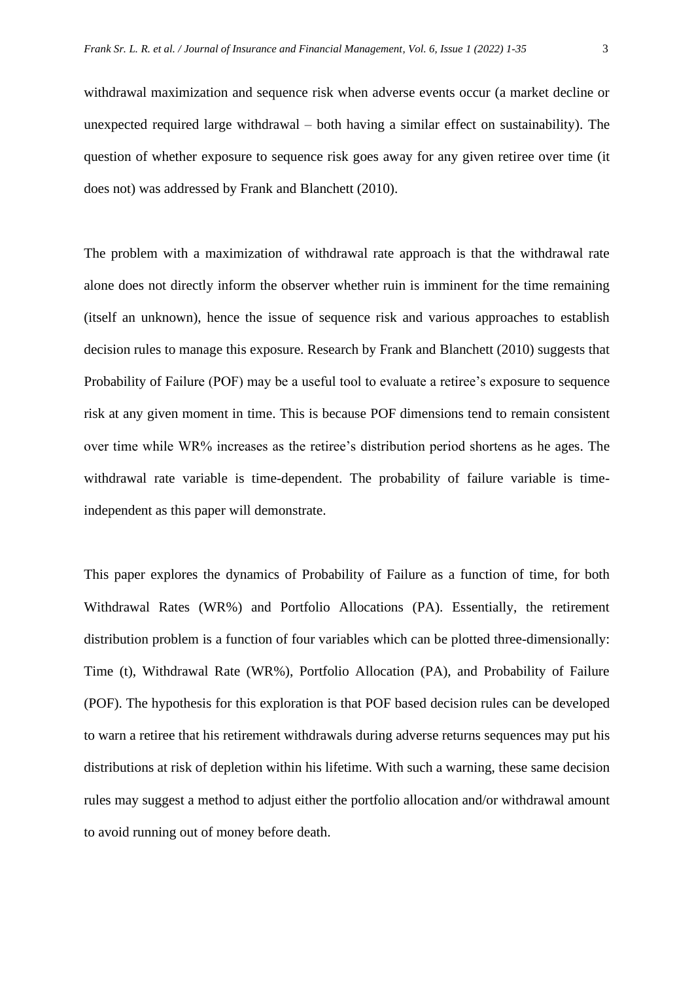withdrawal maximization and sequence risk when adverse events occur (a market decline or unexpected required large withdrawal – both having a similar effect on sustainability). The question of whether exposure to sequence risk goes away for any given retiree over time (it does not) was addressed by Frank and Blanchett (2010).

The problem with a maximization of withdrawal rate approach is that the withdrawal rate alone does not directly inform the observer whether ruin is imminent for the time remaining (itself an unknown), hence the issue of sequence risk and various approaches to establish decision rules to manage this exposure. Research by Frank and Blanchett (2010) suggests that Probability of Failure (POF) may be a useful tool to evaluate a retiree's exposure to sequence risk at any given moment in time. This is because POF dimensions tend to remain consistent over time while WR% increases as the retiree's distribution period shortens as he ages. The withdrawal rate variable is time-dependent. The probability of failure variable is timeindependent as this paper will demonstrate.

This paper explores the dynamics of Probability of Failure as a function of time, for both Withdrawal Rates (WR%) and Portfolio Allocations (PA). Essentially, the retirement distribution problem is a function of four variables which can be plotted three-dimensionally: Time (t), Withdrawal Rate (WR%), Portfolio Allocation (PA), and Probability of Failure (POF). The hypothesis for this exploration is that POF based decision rules can be developed to warn a retiree that his retirement withdrawals during adverse returns sequences may put his distributions at risk of depletion within his lifetime. With such a warning, these same decision rules may suggest a method to adjust either the portfolio allocation and/or withdrawal amount to avoid running out of money before death.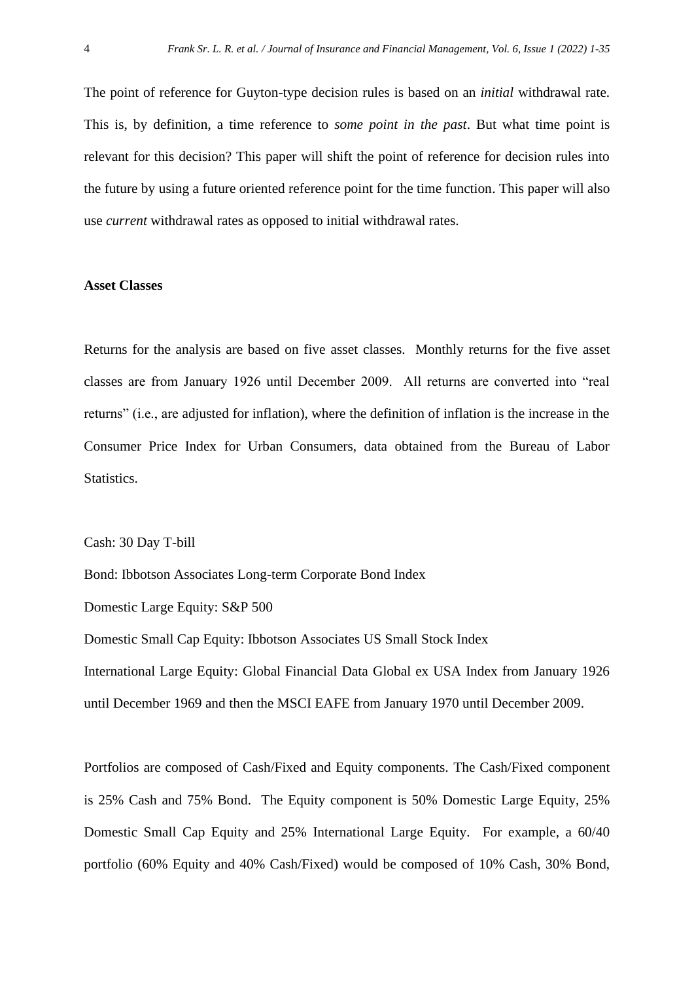The point of reference for Guyton-type decision rules is based on an *initial* withdrawal rate. This is, by definition, a time reference to *some point in the past*. But what time point is relevant for this decision? This paper will shift the point of reference for decision rules into the future by using a future oriented reference point for the time function. This paper will also use *current* withdrawal rates as opposed to initial withdrawal rates.

#### **Asset Classes**

Returns for the analysis are based on five asset classes. Monthly returns for the five asset classes are from January 1926 until December 2009. All returns are converted into "real returns" (i.e., are adjusted for inflation), where the definition of inflation is the increase in the Consumer Price Index for Urban Consumers, data obtained from the Bureau of Labor Statistics.

Cash: 30 Day T-bill

Bond: Ibbotson Associates Long-term Corporate Bond Index

Domestic Large Equity: S&P 500

Domestic Small Cap Equity: Ibbotson Associates US Small Stock Index International Large Equity: Global Financial Data Global ex USA Index from January 1926 until December 1969 and then the MSCI EAFE from January 1970 until December 2009.

Portfolios are composed of Cash/Fixed and Equity components. The Cash/Fixed component is 25% Cash and 75% Bond. The Equity component is 50% Domestic Large Equity, 25% Domestic Small Cap Equity and 25% International Large Equity. For example, a 60/40 portfolio (60% Equity and 40% Cash/Fixed) would be composed of 10% Cash, 30% Bond,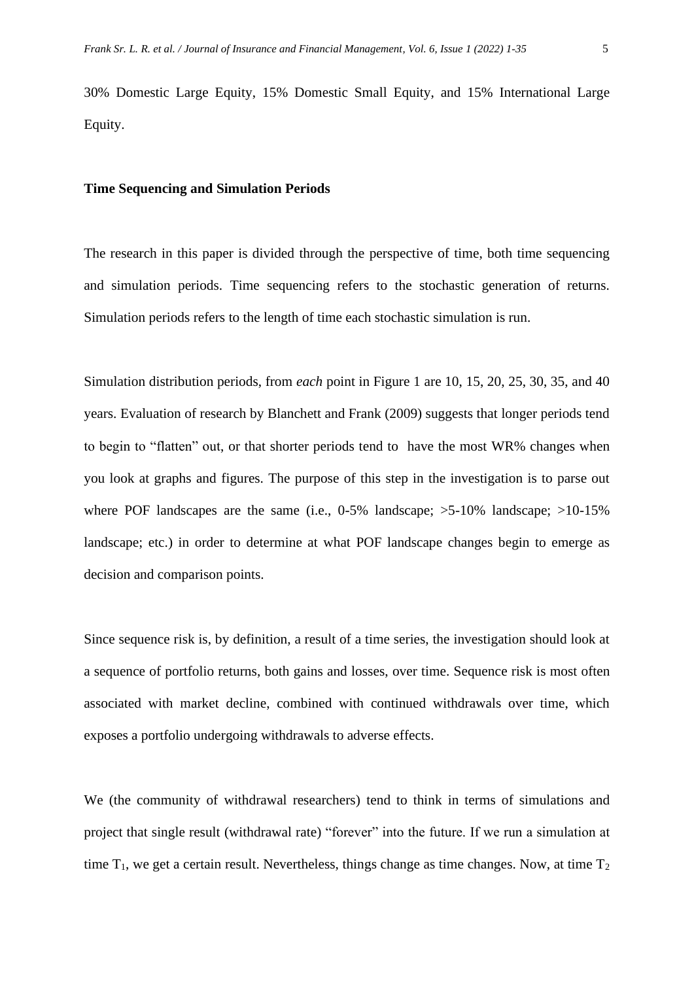30% Domestic Large Equity, 15% Domestic Small Equity, and 15% International Large Equity.

#### **Time Sequencing and Simulation Periods**

The research in this paper is divided through the perspective of time, both time sequencing and simulation periods. Time sequencing refers to the stochastic generation of returns. Simulation periods refers to the length of time each stochastic simulation is run.

Simulation distribution periods, from *each* point in Figure 1 are 10, 15, 20, 25, 30, 35, and 40 years. Evaluation of research by Blanchett and Frank (2009) suggests that longer periods tend to begin to "flatten" out, or that shorter periods tend to have the most WR% changes when you look at graphs and figures. The purpose of this step in the investigation is to parse out where POF landscapes are the same (i.e., 0-5% landscape;  $>5$ -10% landscape;  $>10$ -15% landscape; etc.) in order to determine at what POF landscape changes begin to emerge as decision and comparison points.

Since sequence risk is, by definition, a result of a time series, the investigation should look at a sequence of portfolio returns, both gains and losses, over time. Sequence risk is most often associated with market decline, combined with continued withdrawals over time, which exposes a portfolio undergoing withdrawals to adverse effects.

We (the community of withdrawal researchers) tend to think in terms of simulations and project that single result (withdrawal rate) "forever" into the future. If we run a simulation at time  $T_1$ , we get a certain result. Nevertheless, things change as time changes. Now, at time  $T_2$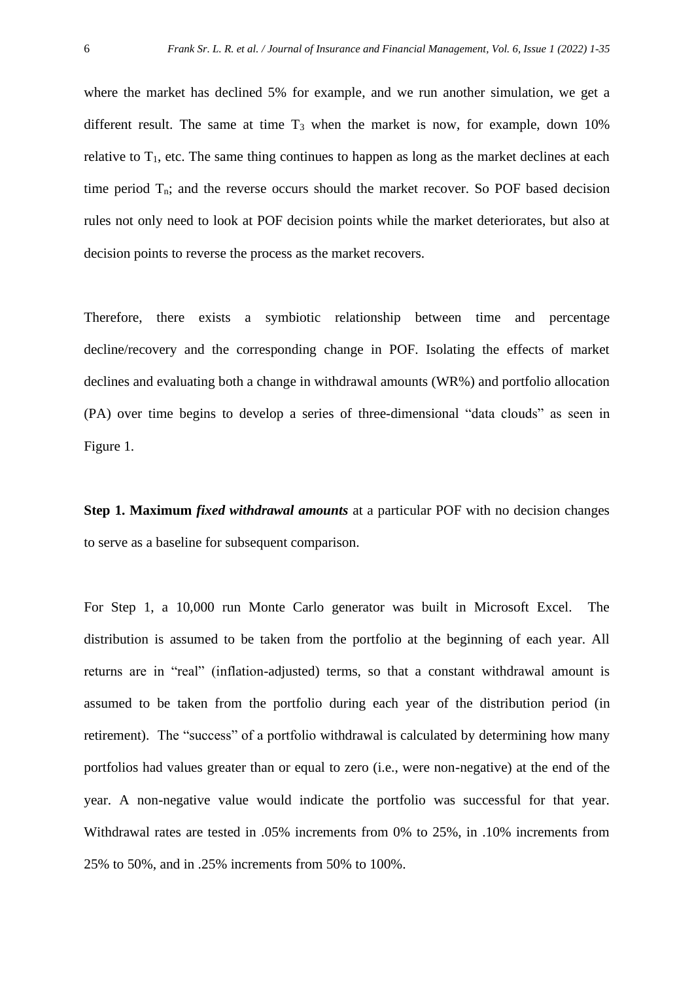where the market has declined 5% for example, and we run another simulation, we get a different result. The same at time  $T_3$  when the market is now, for example, down 10% relative to  $T_1$ , etc. The same thing continues to happen as long as the market declines at each time period  $T_n$ ; and the reverse occurs should the market recover. So POF based decision rules not only need to look at POF decision points while the market deteriorates, but also at decision points to reverse the process as the market recovers.

Therefore, there exists a symbiotic relationship between time and percentage decline/recovery and the corresponding change in POF. Isolating the effects of market declines and evaluating both a change in withdrawal amounts (WR%) and portfolio allocation (PA) over time begins to develop a series of three-dimensional "data clouds" as seen in Figure 1.

**Step 1. Maximum** *fixed withdrawal amounts* at a particular POF with no decision changes to serve as a baseline for subsequent comparison.

For Step 1, a 10,000 run Monte Carlo generator was built in Microsoft Excel. The distribution is assumed to be taken from the portfolio at the beginning of each year. All returns are in "real" (inflation-adjusted) terms, so that a constant withdrawal amount is assumed to be taken from the portfolio during each year of the distribution period (in retirement). The "success" of a portfolio withdrawal is calculated by determining how many portfolios had values greater than or equal to zero (i.e., were non-negative) at the end of the year. A non-negative value would indicate the portfolio was successful for that year. Withdrawal rates are tested in .05% increments from 0% to 25%, in .10% increments from 25% to 50%, and in .25% increments from 50% to 100%.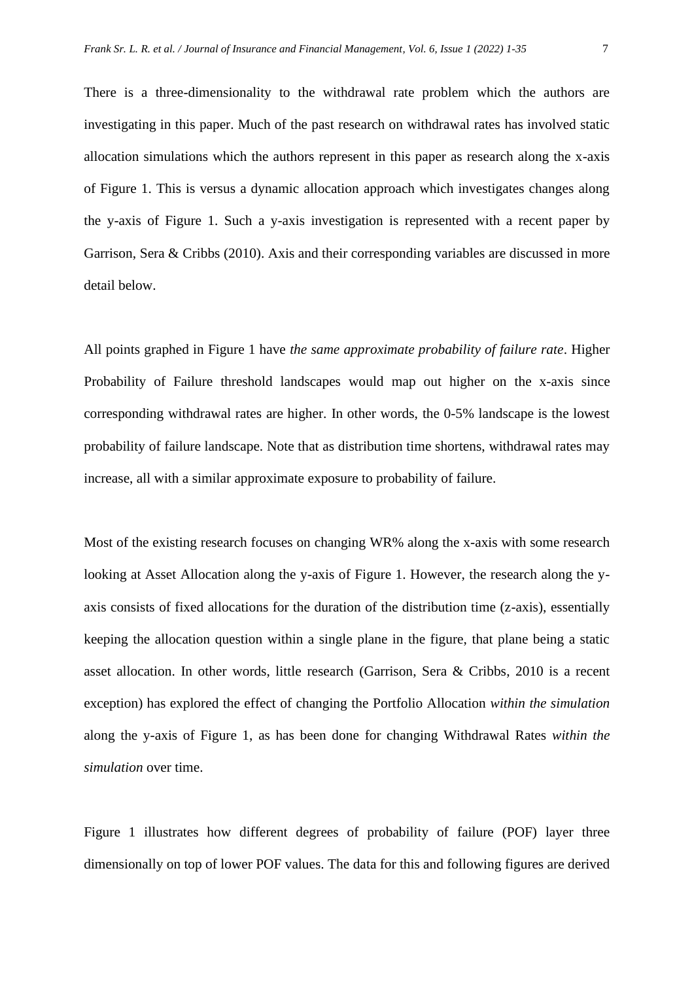There is a three-dimensionality to the withdrawal rate problem which the authors are investigating in this paper. Much of the past research on withdrawal rates has involved static allocation simulations which the authors represent in this paper as research along the x-axis of Figure 1. This is versus a dynamic allocation approach which investigates changes along the y-axis of Figure 1. Such a y-axis investigation is represented with a recent paper by Garrison, Sera & Cribbs (2010). Axis and their corresponding variables are discussed in more detail below.

All points graphed in Figure 1 have *the same approximate probability of failure rate*. Higher Probability of Failure threshold landscapes would map out higher on the x-axis since corresponding withdrawal rates are higher. In other words, the 0-5% landscape is the lowest probability of failure landscape. Note that as distribution time shortens, withdrawal rates may increase, all with a similar approximate exposure to probability of failure.

Most of the existing research focuses on changing WR% along the x-axis with some research looking at Asset Allocation along the y-axis of Figure 1. However, the research along the yaxis consists of fixed allocations for the duration of the distribution time (z-axis), essentially keeping the allocation question within a single plane in the figure, that plane being a static asset allocation. In other words, little research (Garrison, Sera & Cribbs, 2010 is a recent exception) has explored the effect of changing the Portfolio Allocation *within the simulation* along the y-axis of Figure 1, as has been done for changing Withdrawal Rates *within the simulation* over time.

Figure 1 illustrates how different degrees of probability of failure (POF) layer three dimensionally on top of lower POF values. The data for this and following figures are derived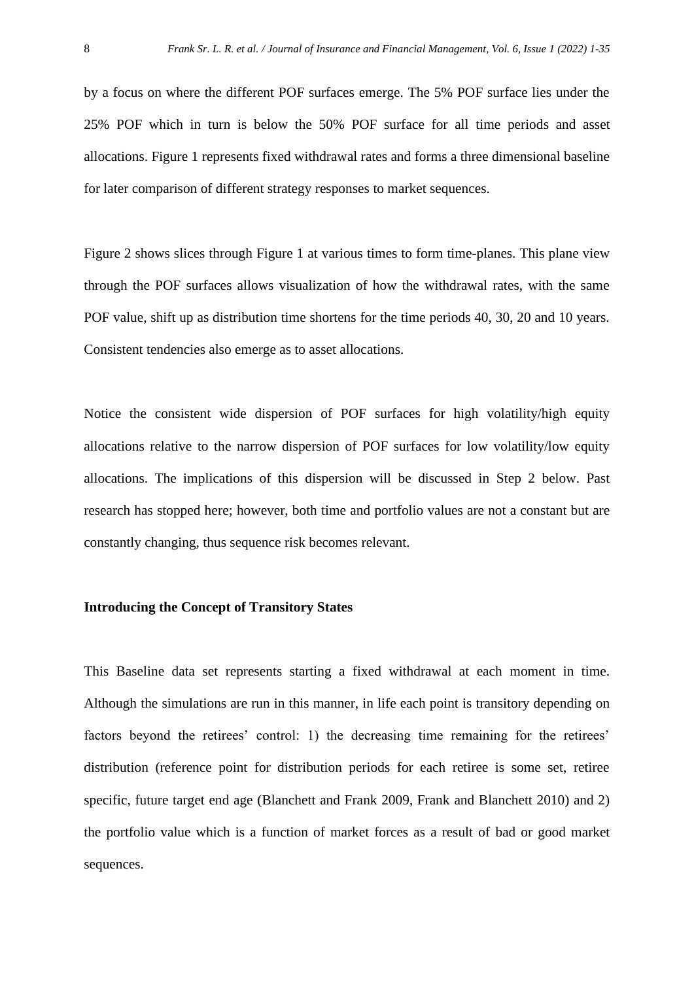by a focus on where the different POF surfaces emerge. The 5% POF surface lies under the 25% POF which in turn is below the 50% POF surface for all time periods and asset allocations. Figure 1 represents fixed withdrawal rates and forms a three dimensional baseline for later comparison of different strategy responses to market sequences.

Figure 2 shows slices through Figure 1 at various times to form time-planes. This plane view through the POF surfaces allows visualization of how the withdrawal rates, with the same POF value, shift up as distribution time shortens for the time periods 40, 30, 20 and 10 years. Consistent tendencies also emerge as to asset allocations.

Notice the consistent wide dispersion of POF surfaces for high volatility/high equity allocations relative to the narrow dispersion of POF surfaces for low volatility/low equity allocations. The implications of this dispersion will be discussed in Step 2 below. Past research has stopped here; however, both time and portfolio values are not a constant but are constantly changing, thus sequence risk becomes relevant.

#### **Introducing the Concept of Transitory States**

This Baseline data set represents starting a fixed withdrawal at each moment in time. Although the simulations are run in this manner, in life each point is transitory depending on factors beyond the retirees' control: 1) the decreasing time remaining for the retirees' distribution (reference point for distribution periods for each retiree is some set, retiree specific, future target end age (Blanchett and Frank 2009, Frank and Blanchett 2010) and 2) the portfolio value which is a function of market forces as a result of bad or good market sequences.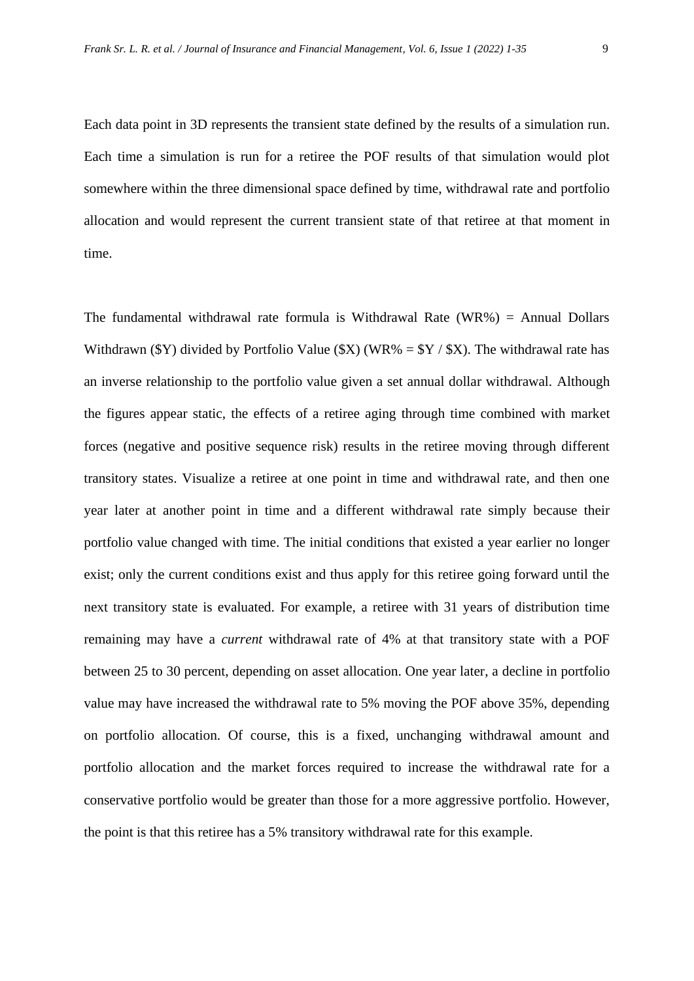Each data point in 3D represents the transient state defined by the results of a simulation run. Each time a simulation is run for a retiree the POF results of that simulation would plot somewhere within the three dimensional space defined by time, withdrawal rate and portfolio allocation and would represent the current transient state of that retiree at that moment in time.

The fundamental withdrawal rate formula is Withdrawal Rate  $(WR\%)$  = Annual Dollars Withdrawn (\$Y) divided by Portfolio Value (\$X) (WR% =  $Y / S X$ ). The withdrawal rate has an inverse relationship to the portfolio value given a set annual dollar withdrawal. Although the figures appear static, the effects of a retiree aging through time combined with market forces (negative and positive sequence risk) results in the retiree moving through different transitory states. Visualize a retiree at one point in time and withdrawal rate, and then one year later at another point in time and a different withdrawal rate simply because their portfolio value changed with time. The initial conditions that existed a year earlier no longer exist; only the current conditions exist and thus apply for this retiree going forward until the next transitory state is evaluated. For example, a retiree with 31 years of distribution time remaining may have a *current* withdrawal rate of 4% at that transitory state with a POF between 25 to 30 percent, depending on asset allocation. One year later, a decline in portfolio value may have increased the withdrawal rate to 5% moving the POF above 35%, depending on portfolio allocation. Of course, this is a fixed, unchanging withdrawal amount and portfolio allocation and the market forces required to increase the withdrawal rate for a conservative portfolio would be greater than those for a more aggressive portfolio. However, the point is that this retiree has a 5% transitory withdrawal rate for this example.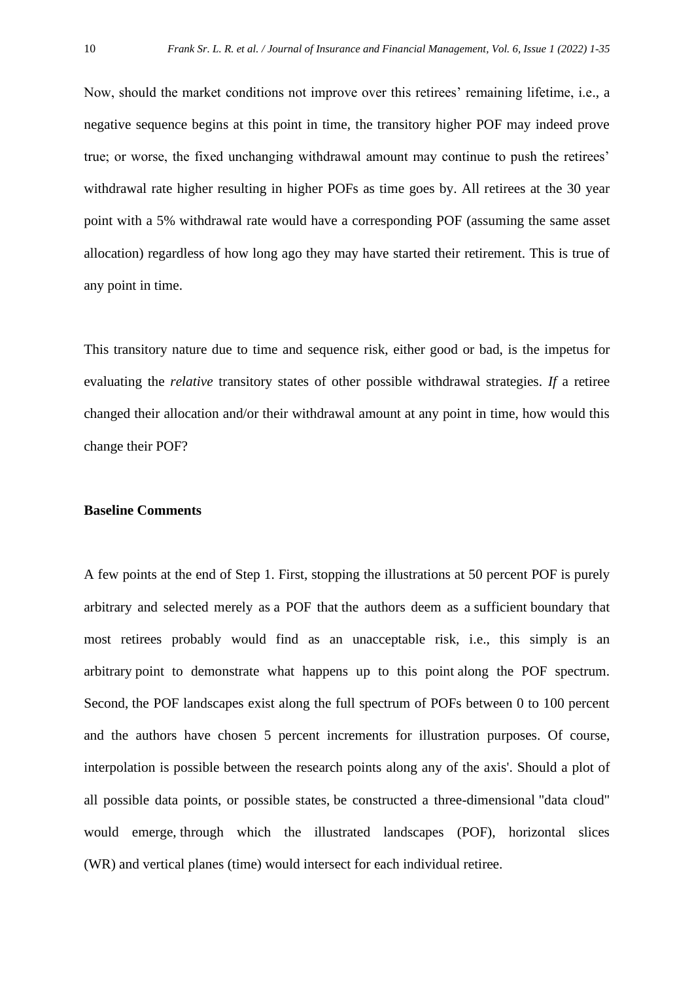Now, should the market conditions not improve over this retirees' remaining lifetime, i.e., a negative sequence begins at this point in time, the transitory higher POF may indeed prove true; or worse, the fixed unchanging withdrawal amount may continue to push the retirees' withdrawal rate higher resulting in higher POFs as time goes by. All retirees at the 30 year point with a 5% withdrawal rate would have a corresponding POF (assuming the same asset allocation) regardless of how long ago they may have started their retirement. This is true of any point in time.

This transitory nature due to time and sequence risk, either good or bad, is the impetus for evaluating the *relative* transitory states of other possible withdrawal strategies. *If* a retiree changed their allocation and/or their withdrawal amount at any point in time, how would this change their POF?

#### **Baseline Comments**

A few points at the end of Step 1. First, stopping the illustrations at 50 percent POF is purely arbitrary and selected merely as a POF that the authors deem as a sufficient boundary that most retirees probably would find as an unacceptable risk, i.e., this simply is an arbitrary point to demonstrate what happens up to this point along the POF spectrum. Second, the POF landscapes exist along the full spectrum of POFs between 0 to 100 percent and the authors have chosen 5 percent increments for illustration purposes. Of course, interpolation is possible between the research points along any of the axis'. Should a plot of all possible data points, or possible states, be constructed a three-dimensional "data cloud" would emerge, through which the illustrated landscapes (POF), horizontal slices (WR) and vertical planes (time) would intersect for each individual retiree.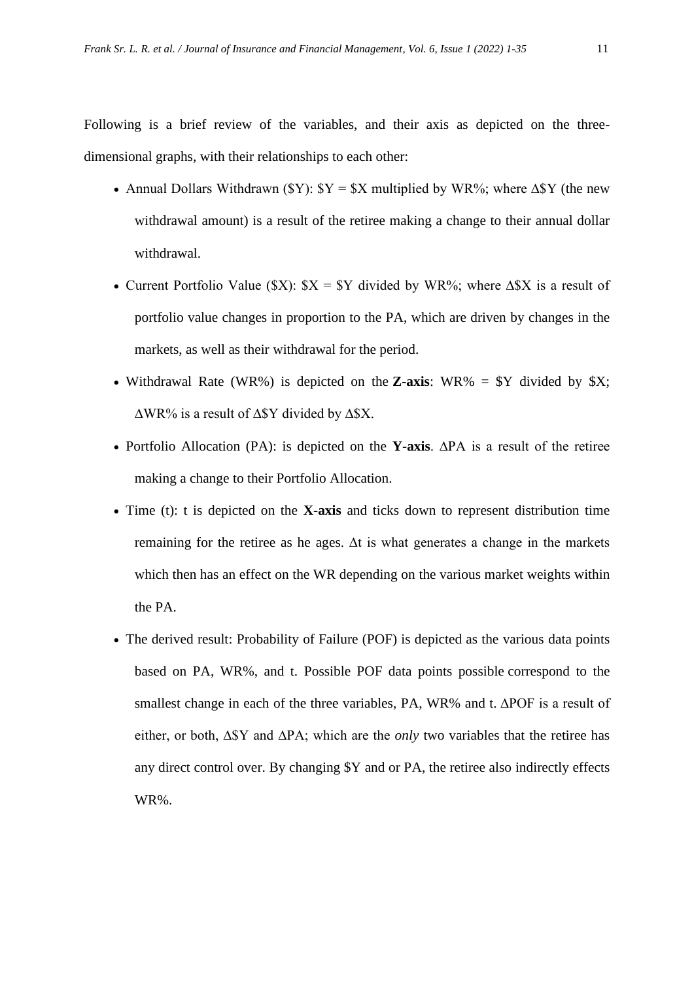Following is a brief review of the variables, and their axis as depicted on the threedimensional graphs, with their relationships to each other:

- Annual Dollars Withdrawn ( $\frac{y}{s}Y = \frac{y}{s}X$  multiplied by WR%; where  $\Delta \frac{y}{s}Y$  (the new withdrawal amount) is a result of the retiree making a change to their annual dollar withdrawal.
- Current Portfolio Value (\$X):  $X = Y$  divided by WR%; where  $\Delta X$  is a result of portfolio value changes in proportion to the PA, which are driven by changes in the markets, as well as their withdrawal for the period.
- Withdrawal Rate (WR%) is depicted on the **Z-axis**: WR% = \$Y divided by \$X; ∆WR% is a result of ∆\$Y divided by ∆\$X.
- Portfolio Allocation (PA): is depicted on the **Y-axis**. ∆PA is a result of the retiree making a change to their Portfolio Allocation.
- Time (t): t is depicted on the **X-axis** and ticks down to represent distribution time remaining for the retiree as he ages. ∆t is what generates a change in the markets which then has an effect on the WR depending on the various market weights within the PA.
- The derived result: Probability of Failure (POF) is depicted as the various data points based on PA, WR%, and t. Possible POF data points possible correspond to the smallest change in each of the three variables, PA, WR% and t. ∆POF is a result of either, or both, ∆\$Y and ∆PA; which are the *only* two variables that the retiree has any direct control over. By changing \$Y and or PA, the retiree also indirectly effects WR%.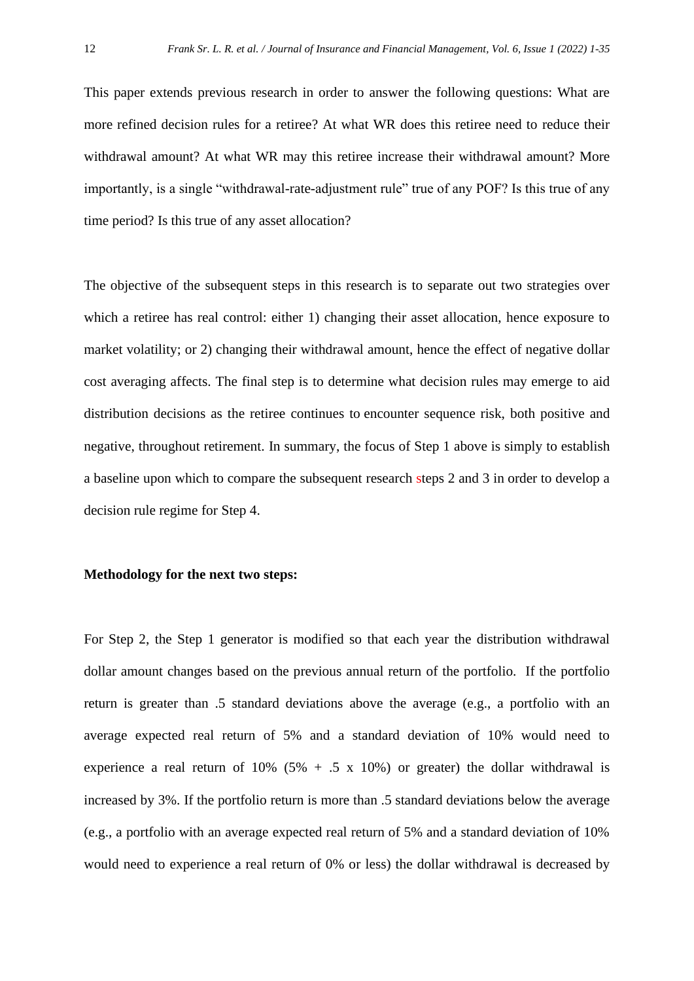This paper extends previous research in order to answer the following questions: What are more refined decision rules for a retiree? At what WR does this retiree need to reduce their withdrawal amount? At what WR may this retiree increase their withdrawal amount? More importantly, is a single "withdrawal-rate-adjustment rule" true of any POF? Is this true of any time period? Is this true of any asset allocation?

The objective of the subsequent steps in this research is to separate out two strategies over which a retiree has real control: either 1) changing their asset allocation, hence exposure to market volatility; or 2) changing their withdrawal amount, hence the effect of negative dollar cost averaging affects. The final step is to determine what decision rules may emerge to aid distribution decisions as the retiree continues to encounter sequence risk, both positive and negative, throughout retirement. In summary, the focus of Step 1 above is simply to establish a baseline upon which to compare the subsequent research steps 2 and 3 in order to develop a decision rule regime for Step 4.

#### **Methodology for the next two steps:**

For Step 2, the Step 1 generator is modified so that each year the distribution withdrawal dollar amount changes based on the previous annual return of the portfolio. If the portfolio return is greater than .5 standard deviations above the average (e.g., a portfolio with an average expected real return of 5% and a standard deviation of 10% would need to experience a real return of  $10\%$  (5% + .5 x 10%) or greater) the dollar withdrawal is increased by 3%. If the portfolio return is more than .5 standard deviations below the average (e.g., a portfolio with an average expected real return of 5% and a standard deviation of 10% would need to experience a real return of 0% or less) the dollar withdrawal is decreased by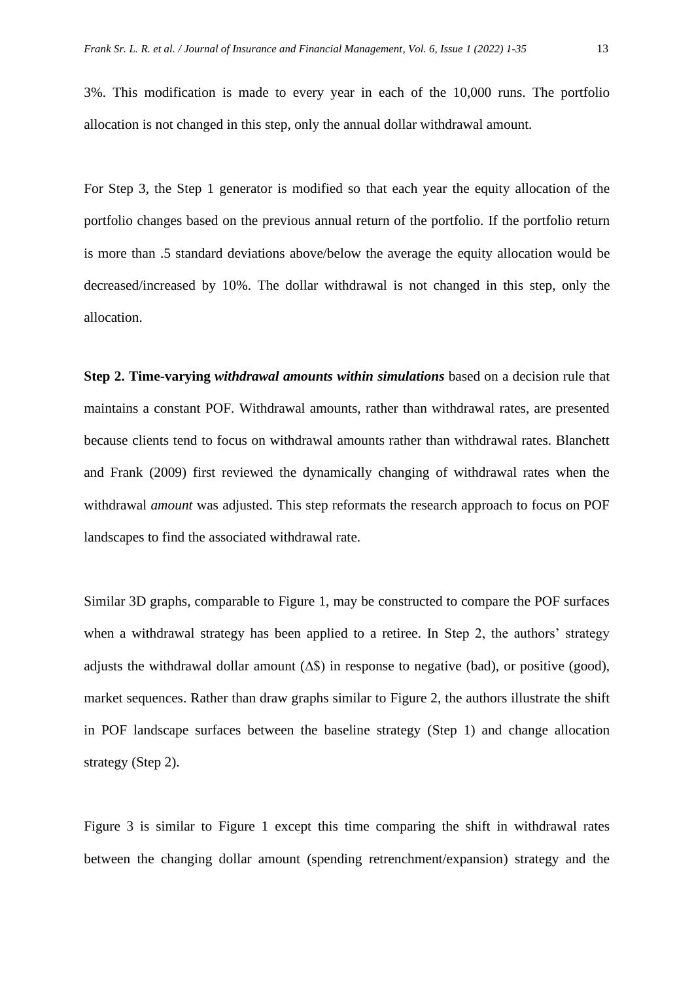3%. This modification is made to every year in each of the 10,000 runs. The portfolio allocation is not changed in this step, only the annual dollar withdrawal amount.

For Step 3, the Step 1 generator is modified so that each year the equity allocation of the portfolio changes based on the previous annual return of the portfolio. If the portfolio return is more than .5 standard deviations above/below the average the equity allocation would be decreased/increased by 10%. The dollar withdrawal is not changed in this step, only the allocation.

**Step 2. Time-varying** *withdrawal amounts within simulations* based on a decision rule that maintains a constant POF. Withdrawal amounts, rather than withdrawal rates, are presented because clients tend to focus on withdrawal amounts rather than withdrawal rates. Blanchett and Frank (2009) first reviewed the dynamically changing of withdrawal rates when the withdrawal *amount* was adjusted. This step reformats the research approach to focus on POF landscapes to find the associated withdrawal rate.

Similar 3D graphs, comparable to Figure 1, may be constructed to compare the POF surfaces when a withdrawal strategy has been applied to a retiree. In Step 2, the authors' strategy adjusts the withdrawal dollar amount  $(\Delta \hat{\mathbb{S}})$  in response to negative (bad), or positive (good), market sequences. Rather than draw graphs similar to Figure 2, the authors illustrate the shift in POF landscape surfaces between the baseline strategy (Step 1) and change allocation strategy (Step 2).

Figure 3 is similar to Figure 1 except this time comparing the shift in withdrawal rates between the changing dollar amount (spending retrenchment/expansion) strategy and the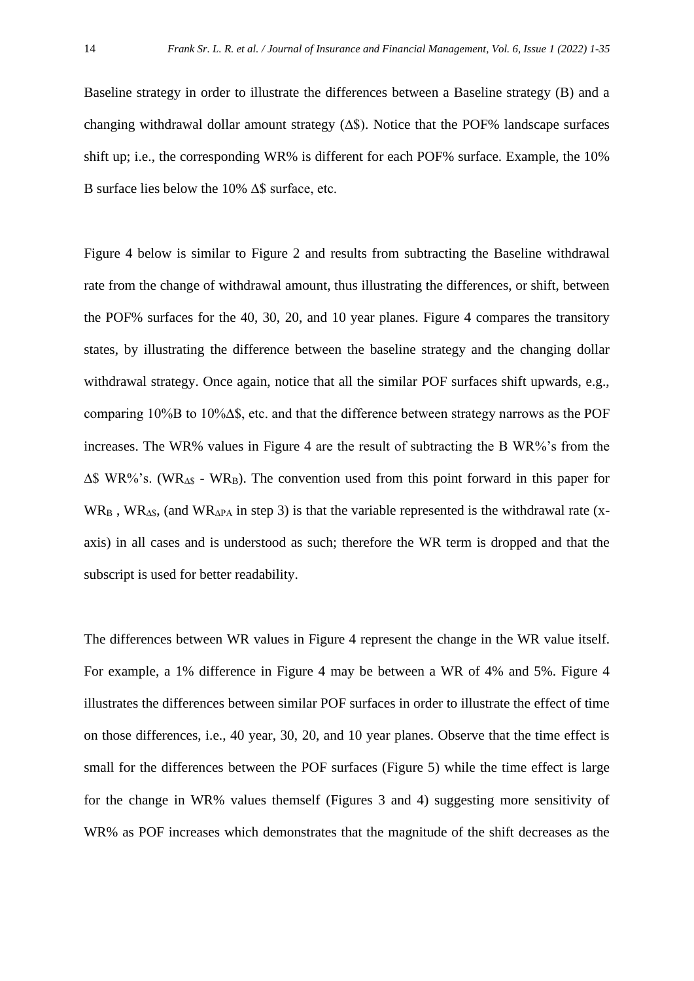Baseline strategy in order to illustrate the differences between a Baseline strategy (B) and a changing withdrawal dollar amount strategy (∆\$). Notice that the POF% landscape surfaces shift up; i.e., the corresponding WR% is different for each POF% surface. Example, the 10% B surface lies below the 10% ∆\$ surface, etc.

Figure 4 below is similar to Figure 2 and results from subtracting the Baseline withdrawal rate from the change of withdrawal amount, thus illustrating the differences, or shift, between the POF% surfaces for the 40, 30, 20, and 10 year planes. Figure 4 compares the transitory states, by illustrating the difference between the baseline strategy and the changing dollar withdrawal strategy. Once again, notice that all the similar POF surfaces shift upwards, e.g., comparing 10%B to 10%∆\$, etc. and that the difference between strategy narrows as the POF increases. The WR% values in Figure 4 are the result of subtracting the B WR%'s from the ∆\$ WR%'s. (WR∆\$ - WRB). The convention used from this point forward in this paper for WR<sub>B</sub>, WR<sub>∆\$</sub>, (and WR<sub>∆PA</sub> in step 3) is that the variable represented is the withdrawal rate (xaxis) in all cases and is understood as such; therefore the WR term is dropped and that the subscript is used for better readability.

The differences between WR values in Figure 4 represent the change in the WR value itself. For example, a 1% difference in Figure 4 may be between a WR of 4% and 5%. Figure 4 illustrates the differences between similar POF surfaces in order to illustrate the effect of time on those differences, i.e., 40 year, 30, 20, and 10 year planes. Observe that the time effect is small for the differences between the POF surfaces (Figure 5) while the time effect is large for the change in WR% values themself (Figures 3 and 4) suggesting more sensitivity of WR% as POF increases which demonstrates that the magnitude of the shift decreases as the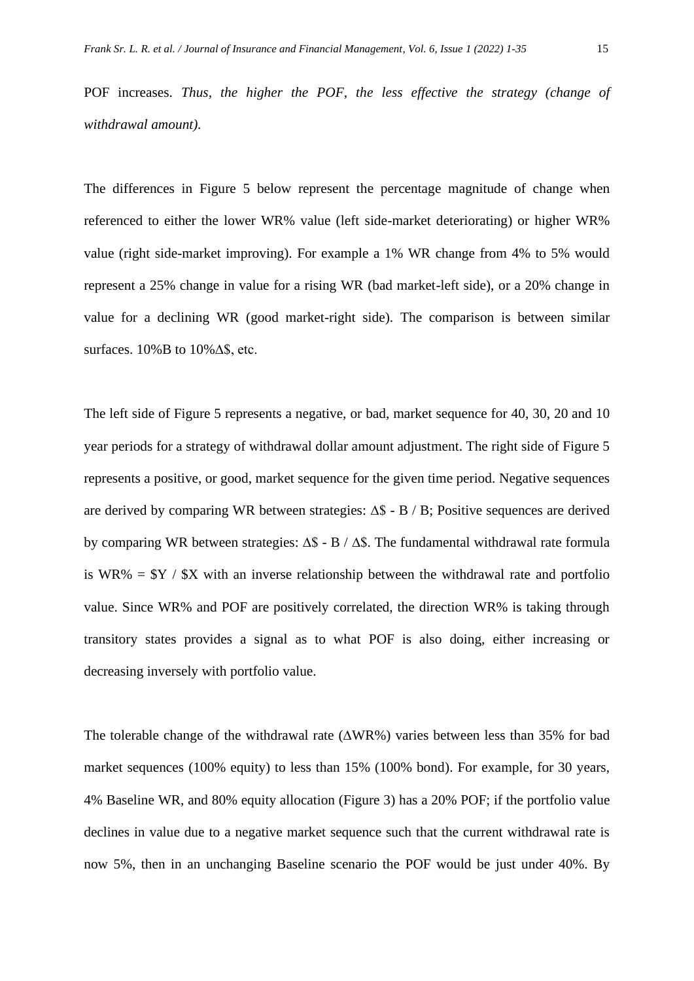POF increases. *Thus, the higher the POF, the less effective the strategy (change of withdrawal amount).*

The differences in Figure 5 below represent the percentage magnitude of change when referenced to either the lower WR% value (left side-market deteriorating) or higher WR% value (right side-market improving). For example a 1% WR change from 4% to 5% would represent a 25% change in value for a rising WR (bad market-left side), or a 20% change in value for a declining WR (good market-right side). The comparison is between similar surfaces. 10%B to 10%∆\$, etc.

The left side of Figure 5 represents a negative, or bad, market sequence for 40, 30, 20 and 10 year periods for a strategy of withdrawal dollar amount adjustment. The right side of Figure 5 represents a positive, or good, market sequence for the given time period. Negative sequences are derived by comparing WR between strategies: ∆\$ - B / B; Positive sequences are derived by comparing WR between strategies: ∆\$ - B / ∆\$. The fundamental withdrawal rate formula is WR% =  $Y / SX$  with an inverse relationship between the withdrawal rate and portfolio value. Since WR% and POF are positively correlated, the direction WR% is taking through transitory states provides a signal as to what POF is also doing, either increasing or decreasing inversely with portfolio value.

The tolerable change of the withdrawal rate (∆WR%) varies between less than 35% for bad market sequences (100% equity) to less than 15% (100% bond). For example, for 30 years, 4% Baseline WR, and 80% equity allocation (Figure 3) has a 20% POF; if the portfolio value declines in value due to a negative market sequence such that the current withdrawal rate is now 5%, then in an unchanging Baseline scenario the POF would be just under 40%. By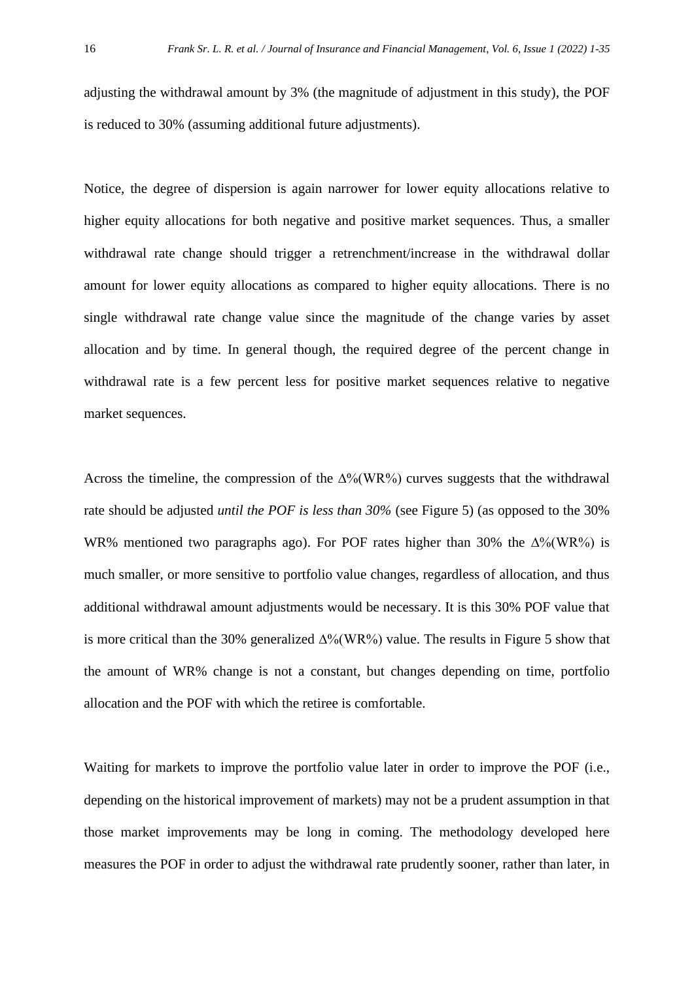adjusting the withdrawal amount by 3% (the magnitude of adjustment in this study), the POF is reduced to 30% (assuming additional future adjustments).

Notice, the degree of dispersion is again narrower for lower equity allocations relative to higher equity allocations for both negative and positive market sequences. Thus, a smaller withdrawal rate change should trigger a retrenchment/increase in the withdrawal dollar amount for lower equity allocations as compared to higher equity allocations. There is no single withdrawal rate change value since the magnitude of the change varies by asset allocation and by time. In general though, the required degree of the percent change in withdrawal rate is a few percent less for positive market sequences relative to negative market sequences.

Across the timeline, the compression of the  $\Delta\%$ (WR%) curves suggests that the withdrawal rate should be adjusted *until the POF is less than 30%* (see Figure 5) (as opposed to the 30% WR% mentioned two paragraphs ago). For POF rates higher than 30% the  $\Delta\%$  (WR%) is much smaller, or more sensitive to portfolio value changes, regardless of allocation, and thus additional withdrawal amount adjustments would be necessary. It is this 30% POF value that is more critical than the 30% generalized ∆%(WR%) value. The results in Figure 5 show that the amount of WR% change is not a constant, but changes depending on time, portfolio allocation and the POF with which the retiree is comfortable.

Waiting for markets to improve the portfolio value later in order to improve the POF (i.e., depending on the historical improvement of markets) may not be a prudent assumption in that those market improvements may be long in coming. The methodology developed here measures the POF in order to adjust the withdrawal rate prudently sooner, rather than later, in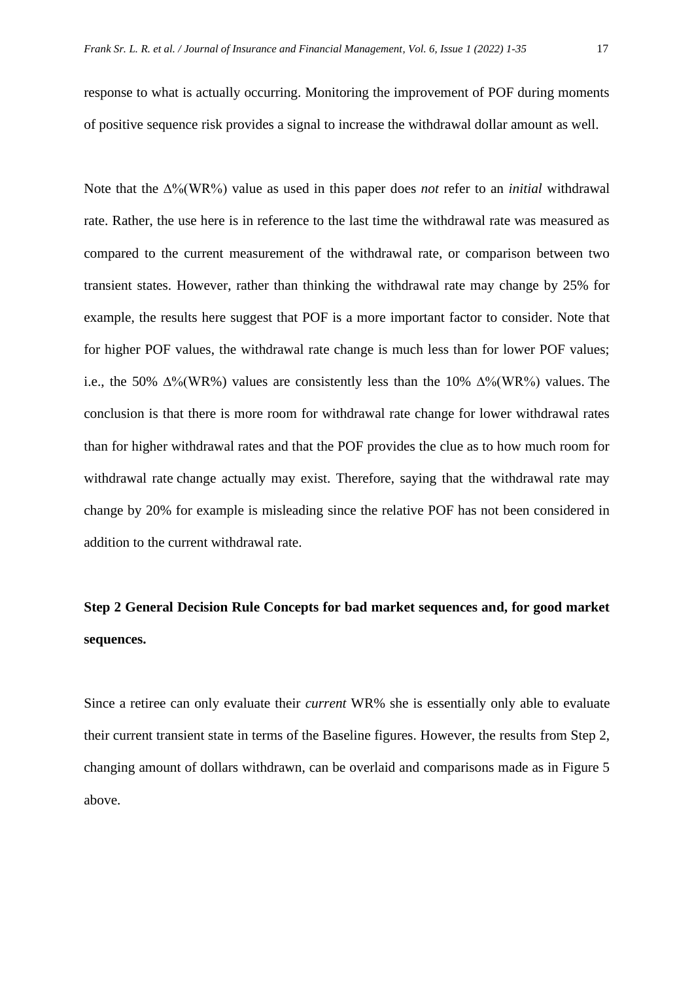response to what is actually occurring. Monitoring the improvement of POF during moments of positive sequence risk provides a signal to increase the withdrawal dollar amount as well.

Note that the ∆%(WR%) value as used in this paper does *not* refer to an *initial* withdrawal rate. Rather, the use here is in reference to the last time the withdrawal rate was measured as compared to the current measurement of the withdrawal rate, or comparison between two transient states. However, rather than thinking the withdrawal rate may change by 25% for example, the results here suggest that POF is a more important factor to consider. Note that for higher POF values, the withdrawal rate change is much less than for lower POF values; i.e., the 50%  $\Delta\%$ (WR%) values are consistently less than the 10%  $\Delta\%$ (WR%) values. The conclusion is that there is more room for withdrawal rate change for lower withdrawal rates than for higher withdrawal rates and that the POF provides the clue as to how much room for withdrawal rate change actually may exist. Therefore, saying that the withdrawal rate may change by 20% for example is misleading since the relative POF has not been considered in addition to the current withdrawal rate.

### **Step 2 General Decision Rule Concepts for bad market sequences and, for good market sequences.**

Since a retiree can only evaluate their *current* WR% she is essentially only able to evaluate their current transient state in terms of the Baseline figures. However, the results from Step 2, changing amount of dollars withdrawn, can be overlaid and comparisons made as in Figure 5 above.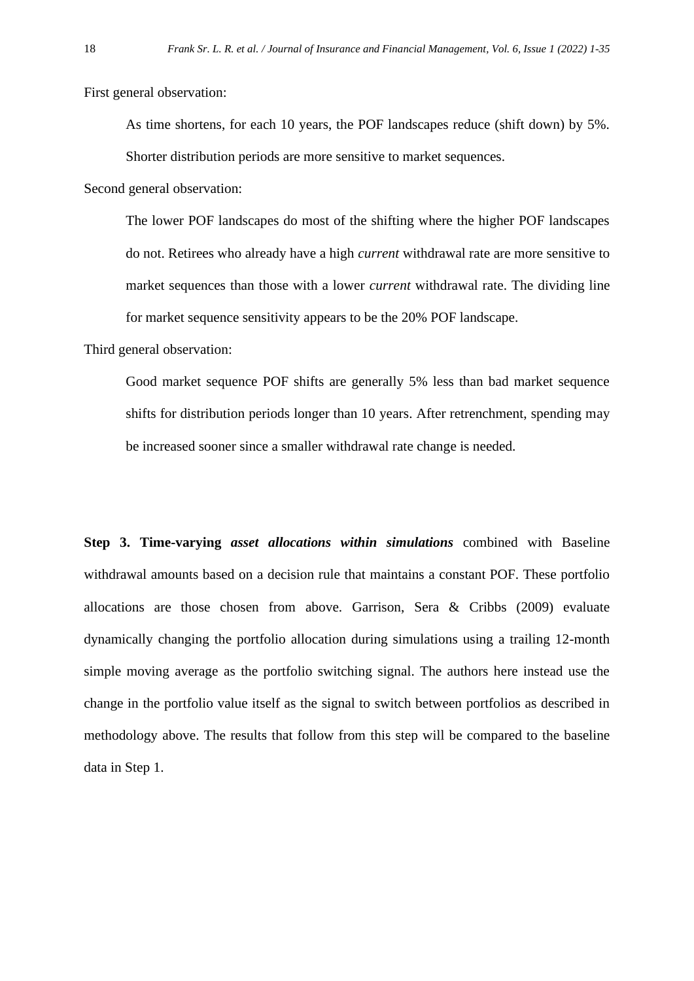First general observation:

As time shortens, for each 10 years, the POF landscapes reduce (shift down) by 5%.

Shorter distribution periods are more sensitive to market sequences.

Second general observation:

The lower POF landscapes do most of the shifting where the higher POF landscapes do not. Retirees who already have a high *current* withdrawal rate are more sensitive to market sequences than those with a lower *current* withdrawal rate. The dividing line for market sequence sensitivity appears to be the 20% POF landscape.

Third general observation:

Good market sequence POF shifts are generally 5% less than bad market sequence shifts for distribution periods longer than 10 years. After retrenchment, spending may be increased sooner since a smaller withdrawal rate change is needed.

**Step 3. Time-varying** *asset allocations within simulations* combined with Baseline withdrawal amounts based on a decision rule that maintains a constant POF. These portfolio allocations are those chosen from above. Garrison, Sera & Cribbs (2009) evaluate dynamically changing the portfolio allocation during simulations using a trailing 12-month simple moving average as the portfolio switching signal. The authors here instead use the change in the portfolio value itself as the signal to switch between portfolios as described in methodology above. The results that follow from this step will be compared to the baseline data in Step 1.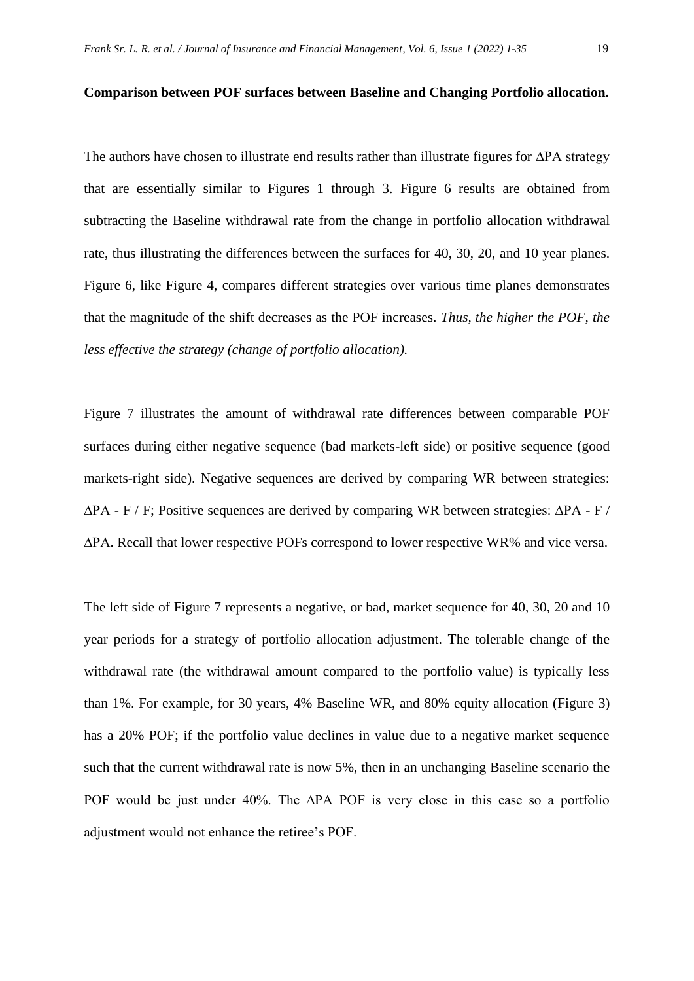The authors have chosen to illustrate end results rather than illustrate figures for ∆PA strategy that are essentially similar to Figures 1 through 3. Figure 6 results are obtained from subtracting the Baseline withdrawal rate from the change in portfolio allocation withdrawal rate, thus illustrating the differences between the surfaces for 40, 30, 20, and 10 year planes. Figure 6, like Figure 4, compares different strategies over various time planes demonstrates that the magnitude of the shift decreases as the POF increases. *Thus, the higher the POF, the less effective the strategy (change of portfolio allocation).*

Figure 7 illustrates the amount of withdrawal rate differences between comparable POF surfaces during either negative sequence (bad markets-left side) or positive sequence (good markets-right side). Negative sequences are derived by comparing WR between strategies:  $\Delta$ PA - F / F; Positive sequences are derived by comparing WR between strategies:  $\Delta$ PA - F / ∆PA. Recall that lower respective POFs correspond to lower respective WR% and vice versa.

The left side of Figure 7 represents a negative, or bad, market sequence for 40, 30, 20 and 10 year periods for a strategy of portfolio allocation adjustment. The tolerable change of the withdrawal rate (the withdrawal amount compared to the portfolio value) is typically less than 1%. For example, for 30 years, 4% Baseline WR, and 80% equity allocation (Figure 3) has a 20% POF; if the portfolio value declines in value due to a negative market sequence such that the current withdrawal rate is now 5%, then in an unchanging Baseline scenario the POF would be just under 40%. The ∆PA POF is very close in this case so a portfolio adjustment would not enhance the retiree's POF.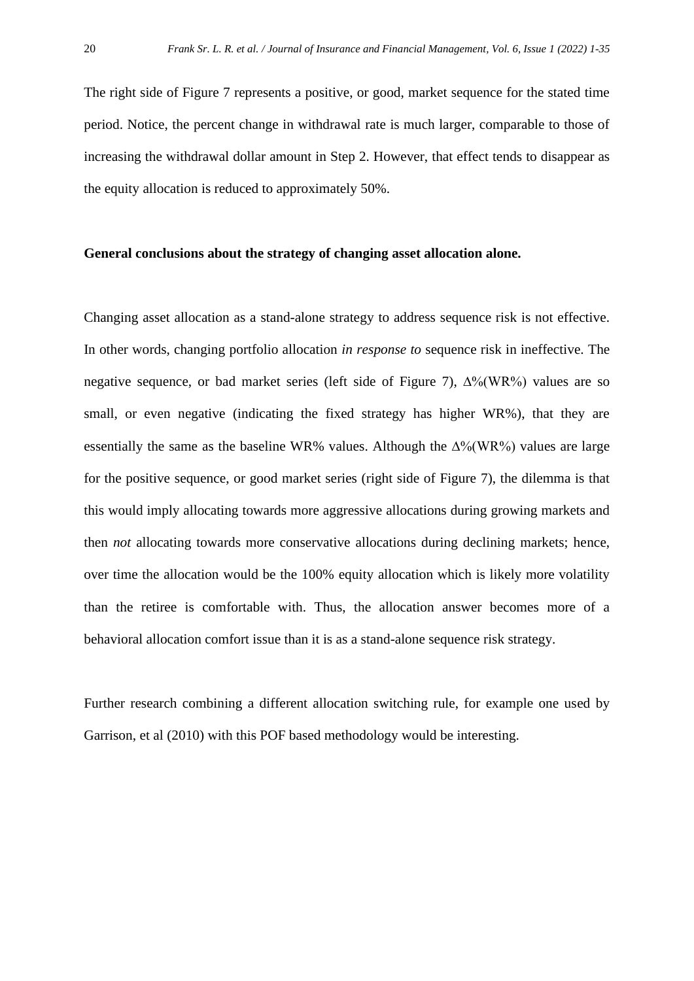The right side of Figure 7 represents a positive, or good, market sequence for the stated time period. Notice, the percent change in withdrawal rate is much larger, comparable to those of increasing the withdrawal dollar amount in Step 2. However, that effect tends to disappear as the equity allocation is reduced to approximately 50%.

#### **General conclusions about the strategy of changing asset allocation alone.**

Changing asset allocation as a stand-alone strategy to address sequence risk is not effective. In other words, changing portfolio allocation *in response to* sequence risk in ineffective. The negative sequence, or bad market series (left side of Figure 7), ∆%(WR%) values are so small, or even negative (indicating the fixed strategy has higher WR%), that they are essentially the same as the baseline WR% values. Although the ∆%(WR%) values are large for the positive sequence, or good market series (right side of Figure 7), the dilemma is that this would imply allocating towards more aggressive allocations during growing markets and then *not* allocating towards more conservative allocations during declining markets; hence, over time the allocation would be the 100% equity allocation which is likely more volatility than the retiree is comfortable with. Thus, the allocation answer becomes more of a behavioral allocation comfort issue than it is as a stand-alone sequence risk strategy.

Further research combining a different allocation switching rule, for example one used by Garrison, et al (2010) with this POF based methodology would be interesting.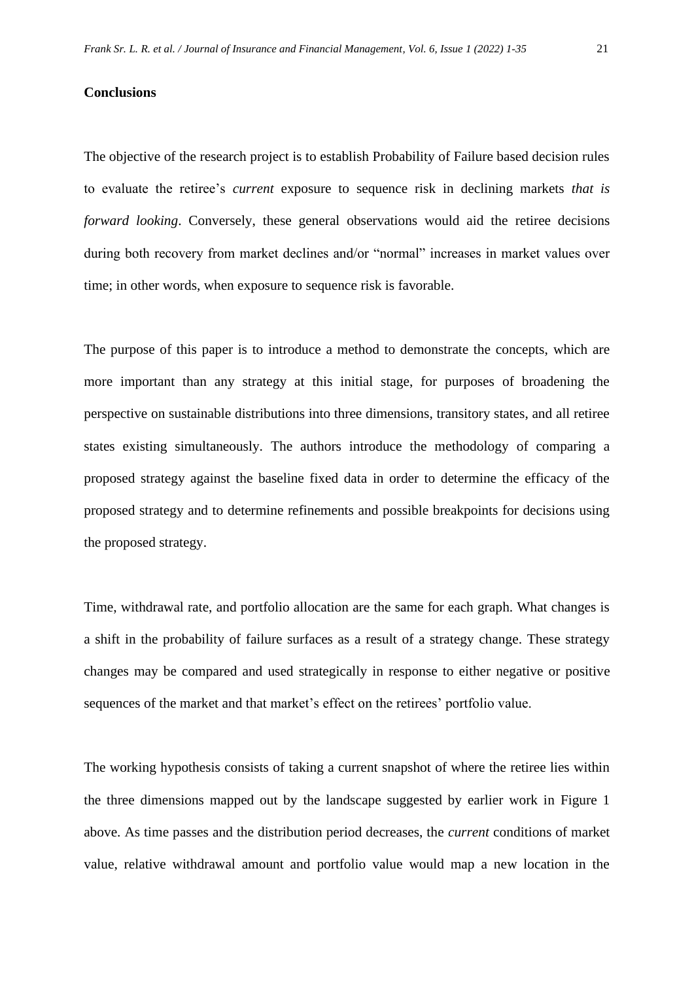#### **Conclusions**

The objective of the research project is to establish Probability of Failure based decision rules to evaluate the retiree's *current* exposure to sequence risk in declining markets *that is forward looking*. Conversely, these general observations would aid the retiree decisions during both recovery from market declines and/or "normal" increases in market values over time; in other words, when exposure to sequence risk is favorable.

The purpose of this paper is to introduce a method to demonstrate the concepts, which are more important than any strategy at this initial stage, for purposes of broadening the perspective on sustainable distributions into three dimensions, transitory states, and all retiree states existing simultaneously. The authors introduce the methodology of comparing a proposed strategy against the baseline fixed data in order to determine the efficacy of the proposed strategy and to determine refinements and possible breakpoints for decisions using the proposed strategy.

Time, withdrawal rate, and portfolio allocation are the same for each graph. What changes is a shift in the probability of failure surfaces as a result of a strategy change. These strategy changes may be compared and used strategically in response to either negative or positive sequences of the market and that market's effect on the retirees' portfolio value.

The working hypothesis consists of taking a current snapshot of where the retiree lies within the three dimensions mapped out by the landscape suggested by earlier work in Figure 1 above. As time passes and the distribution period decreases, the *current* conditions of market value, relative withdrawal amount and portfolio value would map a new location in the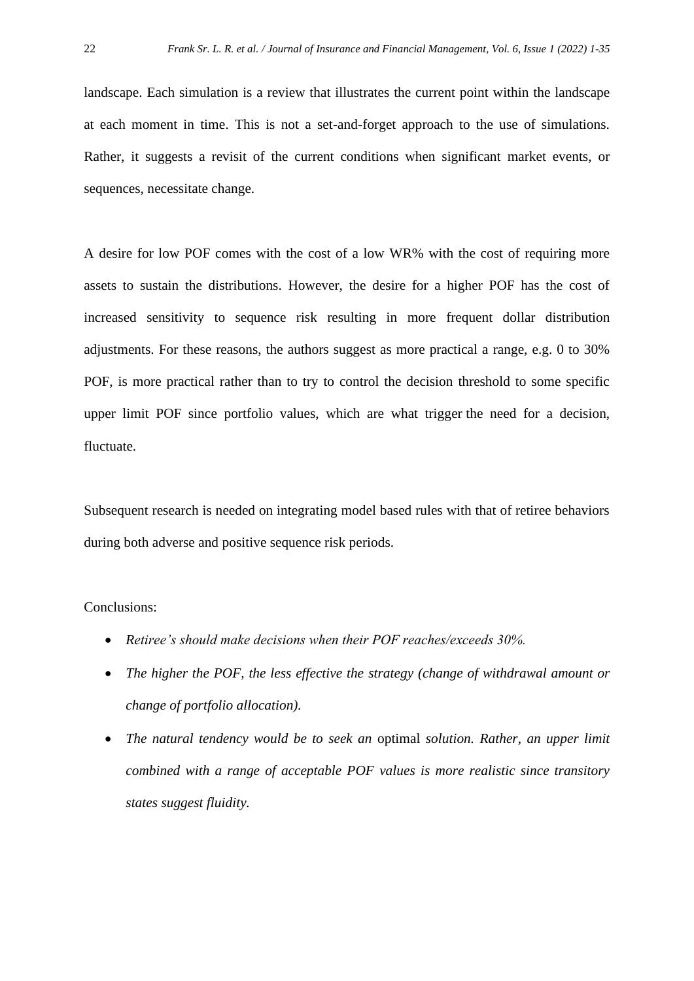landscape. Each simulation is a review that illustrates the current point within the landscape at each moment in time. This is not a set-and-forget approach to the use of simulations. Rather, it suggests a revisit of the current conditions when significant market events, or sequences, necessitate change.

A desire for low POF comes with the cost of a low WR% with the cost of requiring more assets to sustain the distributions. However, the desire for a higher POF has the cost of increased sensitivity to sequence risk resulting in more frequent dollar distribution adjustments. For these reasons, the authors suggest as more practical a range, e.g. 0 to 30% POF, is more practical rather than to try to control the decision threshold to some specific upper limit POF since portfolio values, which are what trigger the need for a decision, fluctuate.

Subsequent research is needed on integrating model based rules with that of retiree behaviors during both adverse and positive sequence risk periods.

#### Conclusions:

- *Retiree's should make decisions when their POF reaches/exceeds 30%.*
- *The higher the POF, the less effective the strategy (change of withdrawal amount or change of portfolio allocation).*
- *The natural tendency would be to seek an* optimal *solution. Rather, an upper limit combined with a range of acceptable POF values is more realistic since transitory states suggest fluidity.*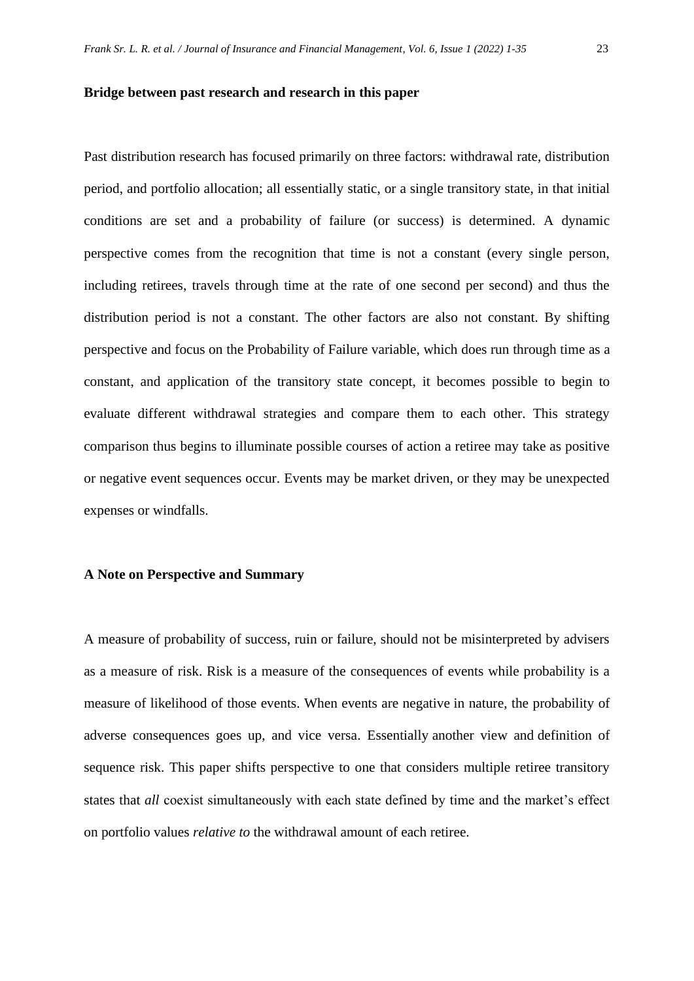#### **Bridge between past research and research in this paper**

Past distribution research has focused primarily on three factors: withdrawal rate, distribution period, and portfolio allocation; all essentially static, or a single transitory state, in that initial conditions are set and a probability of failure (or success) is determined. A dynamic perspective comes from the recognition that time is not a constant (every single person, including retirees, travels through time at the rate of one second per second) and thus the distribution period is not a constant. The other factors are also not constant. By shifting perspective and focus on the Probability of Failure variable, which does run through time as a constant, and application of the transitory state concept, it becomes possible to begin to evaluate different withdrawal strategies and compare them to each other. This strategy comparison thus begins to illuminate possible courses of action a retiree may take as positive or negative event sequences occur. Events may be market driven, or they may be unexpected expenses or windfalls.

#### **A Note on Perspective and Summary**

A measure of probability of success, ruin or failure, should not be misinterpreted by advisers as a measure of risk. Risk is a measure of the consequences of events while probability is a measure of likelihood of those events. When events are negative in nature, the probability of adverse consequences goes up, and vice versa. Essentially another view and definition of sequence risk. This paper shifts perspective to one that considers multiple retiree transitory states that *all* coexist simultaneously with each state defined by time and the market's effect on portfolio values *relative to* the withdrawal amount of each retiree.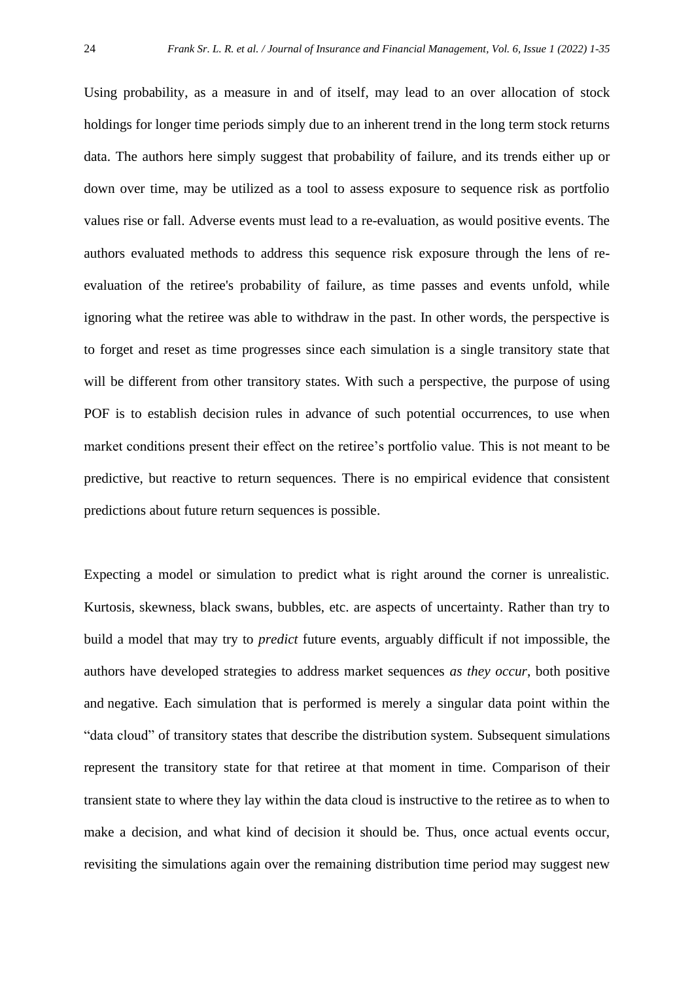Using probability, as a measure in and of itself, may lead to an over allocation of stock holdings for longer time periods simply due to an inherent trend in the long term stock returns data. The authors here simply suggest that probability of failure, and its trends either up or down over time, may be utilized as a tool to assess exposure to sequence risk as portfolio values rise or fall. Adverse events must lead to a re-evaluation, as would positive events. The authors evaluated methods to address this sequence risk exposure through the lens of reevaluation of the retiree's probability of failure, as time passes and events unfold, while ignoring what the retiree was able to withdraw in the past. In other words, the perspective is to forget and reset as time progresses since each simulation is a single transitory state that will be different from other transitory states. With such a perspective, the purpose of using POF is to establish decision rules in advance of such potential occurrences, to use when market conditions present their effect on the retiree's portfolio value. This is not meant to be predictive, but reactive to return sequences. There is no empirical evidence that consistent predictions about future return sequences is possible.

Expecting a model or simulation to predict what is right around the corner is unrealistic. Kurtosis, skewness, black swans, bubbles, etc. are aspects of uncertainty. Rather than try to build a model that may try to *predict* future events, arguably difficult if not impossible, the authors have developed strategies to address market sequences *as they occur*, both positive and negative. Each simulation that is performed is merely a singular data point within the "data cloud" of transitory states that describe the distribution system. Subsequent simulations represent the transitory state for that retiree at that moment in time. Comparison of their transient state to where they lay within the data cloud is instructive to the retiree as to when to make a decision, and what kind of decision it should be. Thus, once actual events occur, revisiting the simulations again over the remaining distribution time period may suggest new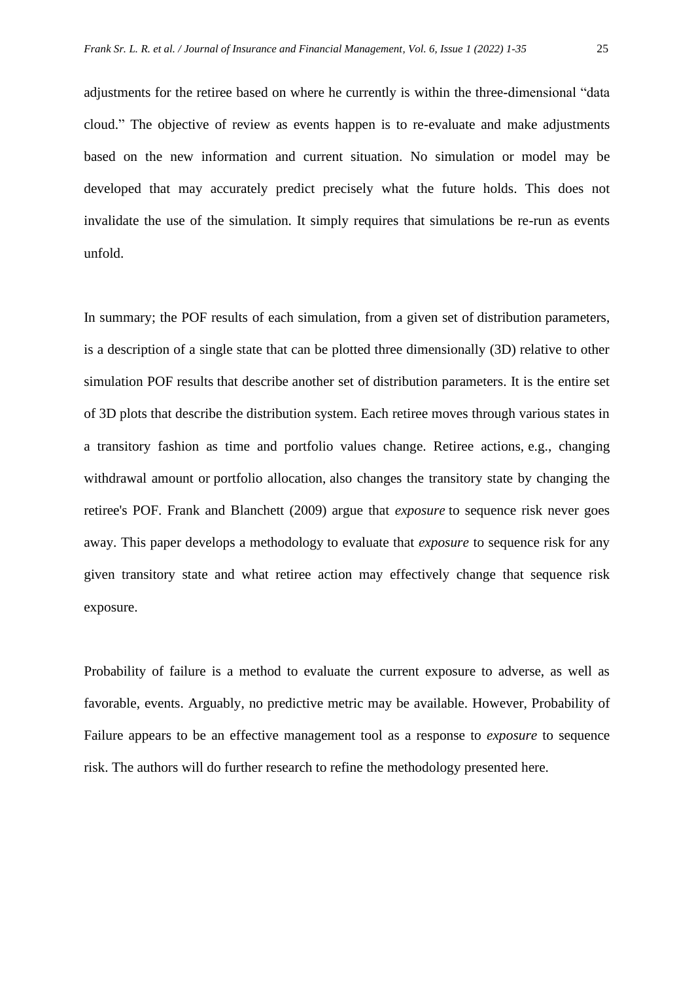adjustments for the retiree based on where he currently is within the three-dimensional "data cloud." The objective of review as events happen is to re-evaluate and make adjustments based on the new information and current situation. No simulation or model may be developed that may accurately predict precisely what the future holds. This does not invalidate the use of the simulation. It simply requires that simulations be re-run as events unfold.

In summary; the POF results of each simulation, from a given set of distribution parameters, is a description of a single state that can be plotted three dimensionally (3D) relative to other simulation POF results that describe another set of distribution parameters. It is the entire set of 3D plots that describe the distribution system. Each retiree moves through various states in a transitory fashion as time and portfolio values change. Retiree actions, e.g., changing withdrawal amount or portfolio allocation, also changes the transitory state by changing the retiree's POF. Frank and Blanchett (2009) argue that *exposure* to sequence risk never goes away. This paper develops a methodology to evaluate that *exposure* to sequence risk for any given transitory state and what retiree action may effectively change that sequence risk exposure.

Probability of failure is a method to evaluate the current exposure to adverse, as well as favorable, events. Arguably, no predictive metric may be available. However, Probability of Failure appears to be an effective management tool as a response to *exposure* to sequence risk. The authors will do further research to refine the methodology presented here.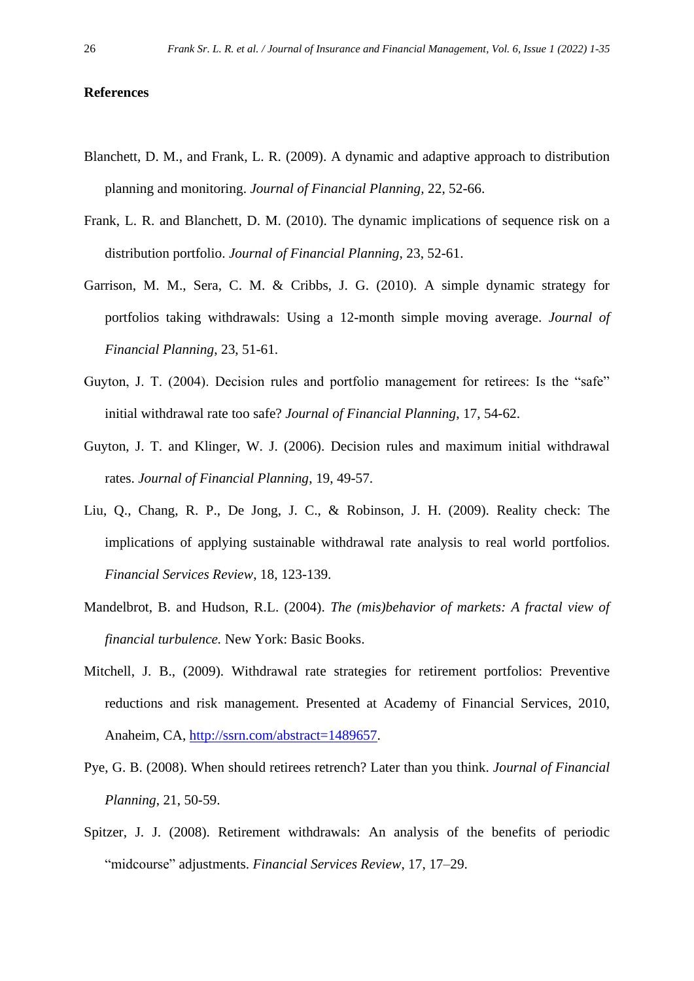#### **References**

- Blanchett, D. M., and Frank, L. R. (2009). A dynamic and adaptive approach to distribution planning and monitoring. *Journal of Financial Planning,* 22, 52-66.
- Frank, L. R. and Blanchett, D. M. (2010). The dynamic implications of sequence risk on a distribution portfolio. *Journal of Financial Planning*, 23, 52-61.
- Garrison, M. M., Sera, C. M. & Cribbs, J. G. (2010). A simple dynamic strategy for portfolios taking withdrawals: Using a 12-month simple moving average. *Journal of Financial Planning*, 23, 51-61.
- Guyton, J. T. (2004). Decision rules and portfolio management for retirees: Is the "safe" initial withdrawal rate too safe? *Journal of Financial Planning*, 17, 54-62.
- Guyton, J. T. and Klinger, W. J. (2006). Decision rules and maximum initial withdrawal rates. *Journal of Financial Planning*, 19, 49-57.
- Liu, Q., Chang, R. P., De Jong, J. C., & Robinson, J. H. (2009). Reality check: The implications of applying sustainable withdrawal rate analysis to real world portfolios. *Financial Services Review*, 18, 123-139.
- Mandelbrot, B. and Hudson, R.L. (2004). *The (mis)behavior of markets: A fractal view of financial turbulence.* New York: Basic Books.
- Mitchell, J. B., (2009). Withdrawal rate strategies for retirement portfolios: Preventive reductions and risk management. Presented at Academy of Financial Services, 2010, Anaheim, CA, [http://ssrn.com/abstract=1489657.](http://ssrn.com/abstract=1489657)
- Pye, G. B. (2008). When should retirees retrench? Later than you think. *Journal of Financial Planning*, 21, 50-59.
- Spitzer, J. J. (2008). Retirement withdrawals: An analysis of the benefits of periodic "midcourse" adjustments. *Financial Services Review*, 17, 17–29.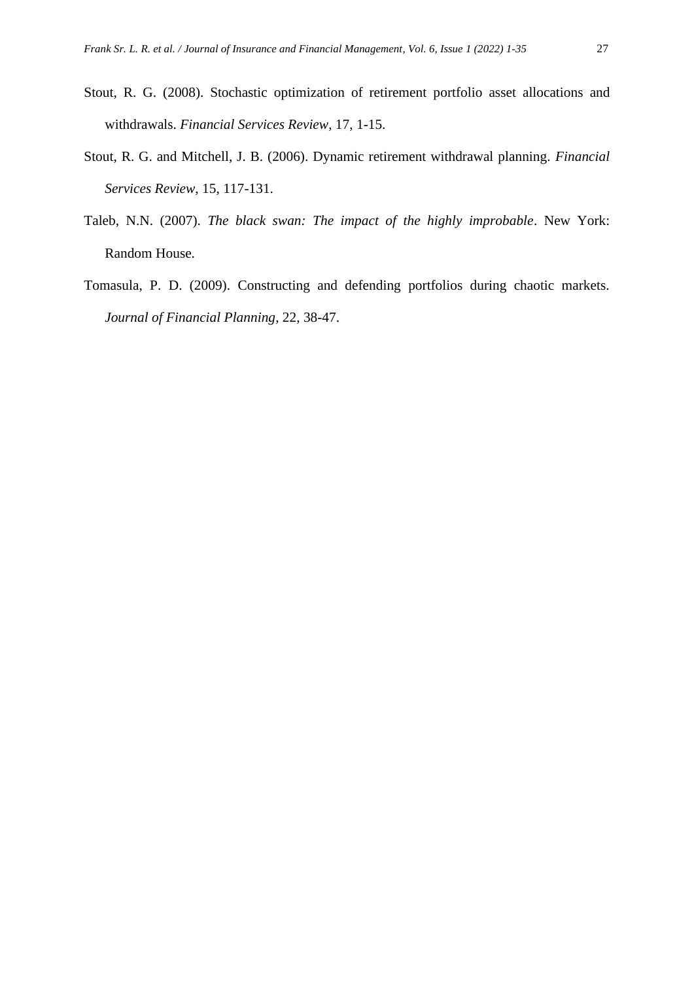- Stout, R. G. (2008). Stochastic optimization of retirement portfolio asset allocations and withdrawals. *Financial Services Review*, 17, 1-15.
- Stout, R. G. and Mitchell, J. B. (2006). Dynamic retirement withdrawal planning. *Financial Services Review*, 15, 117-131.
- Taleb, N.N. (2007). *The black swan: The impact of the highly improbable*. New York: Random House.
- Tomasula, P. D. (2009). Constructing and defending portfolios during chaotic markets. *Journal of Financial Planning*, 22, 38-47.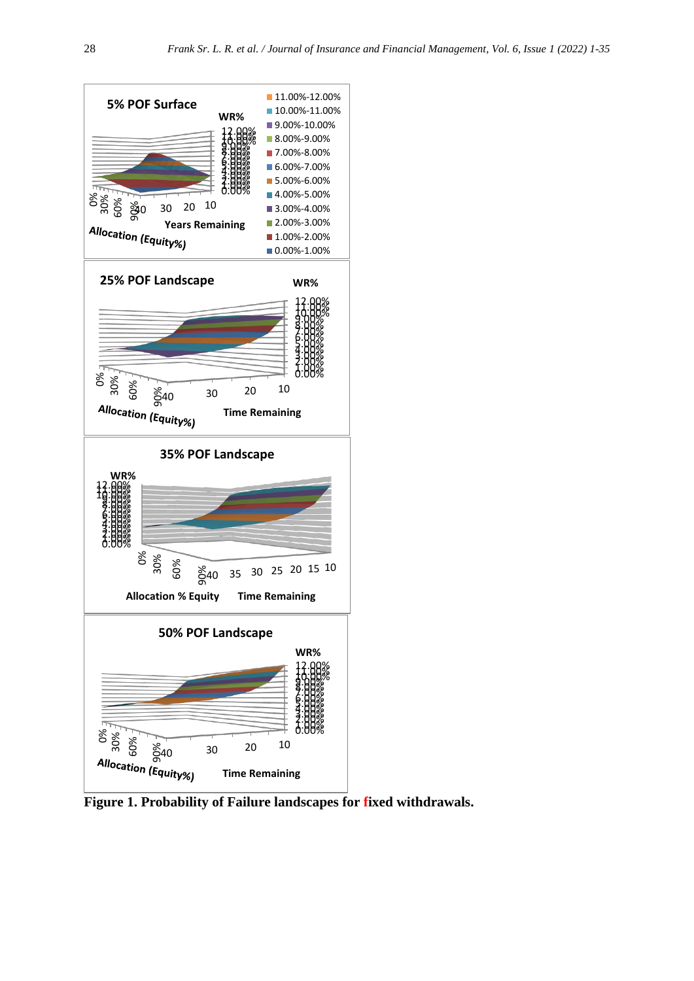

**Figure 1. Probability of Failure landscapes for fixed withdrawals.**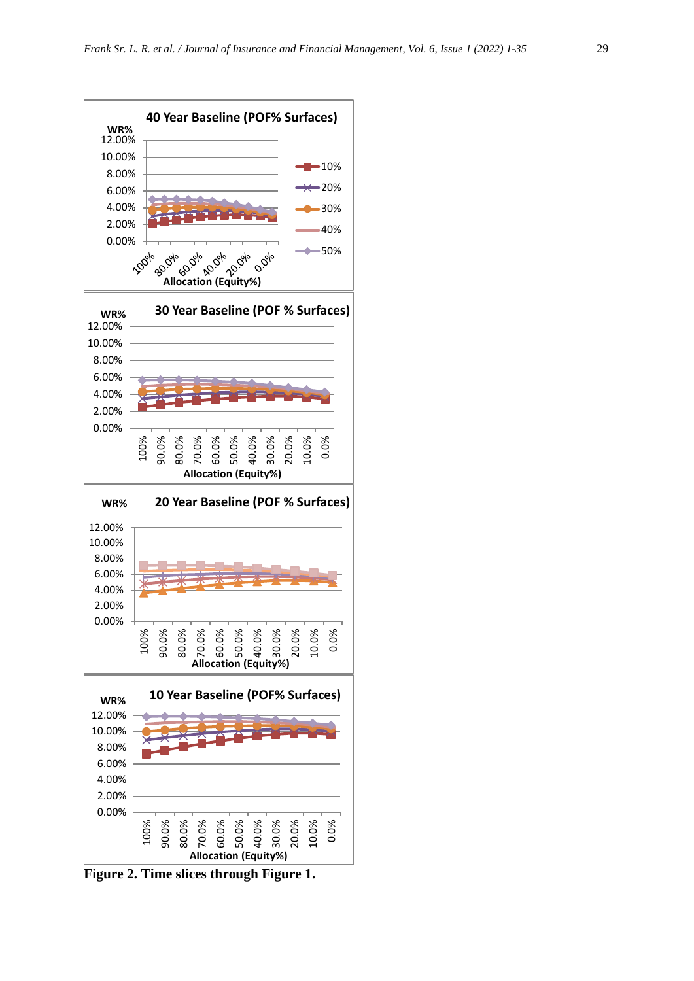

**Figure 2. Time slices through Figure 1.**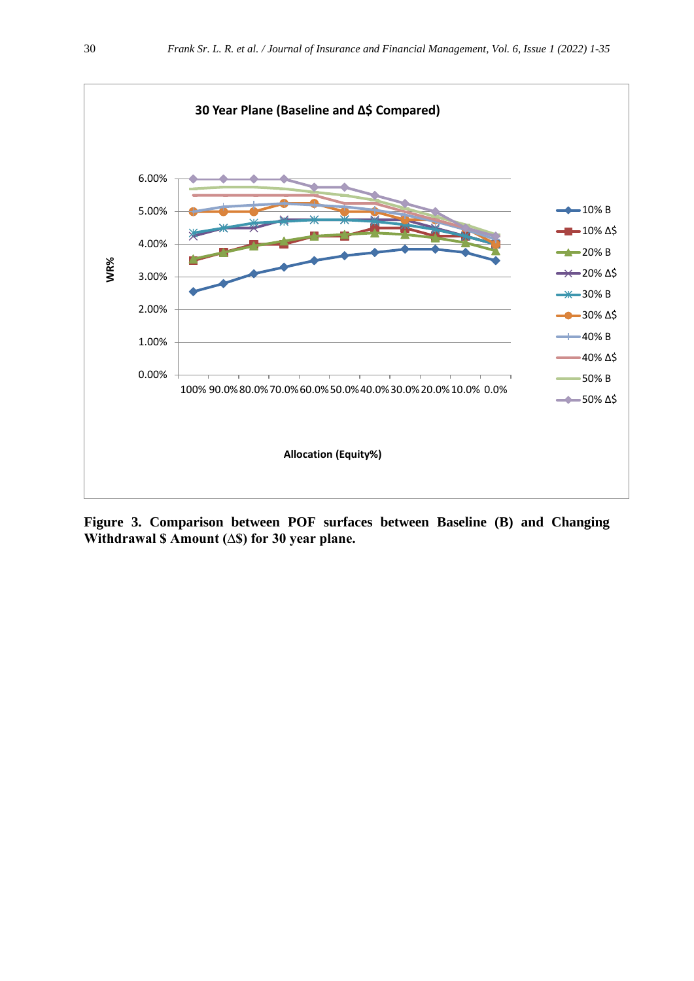

**Figure 3. Comparison between POF surfaces between Baseline (B) and Changing Withdrawal \$ Amount (∆\$) for 30 year plane.**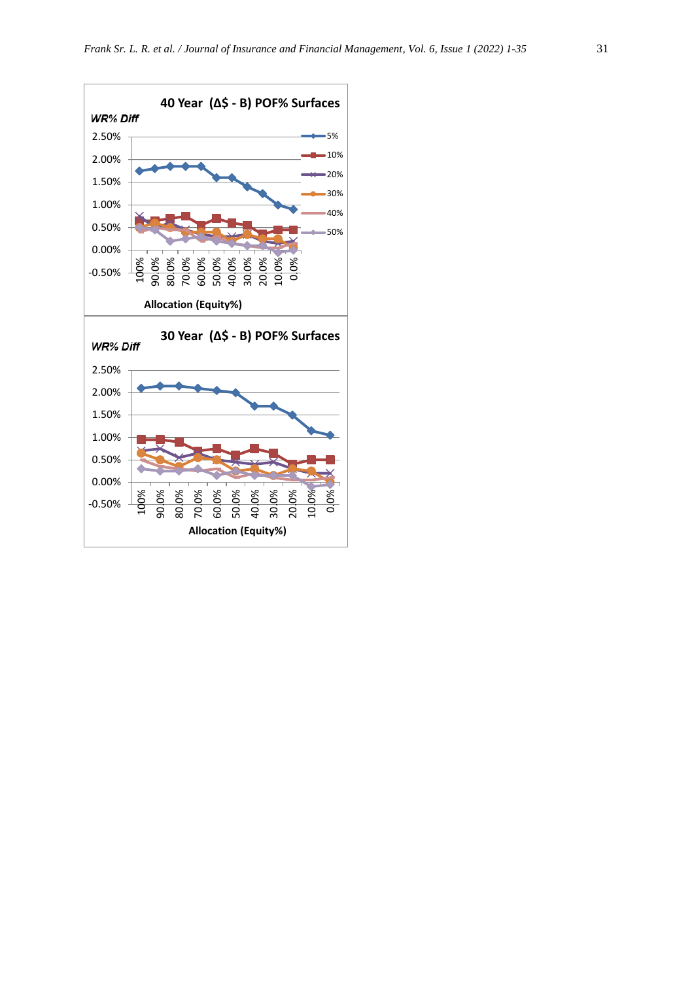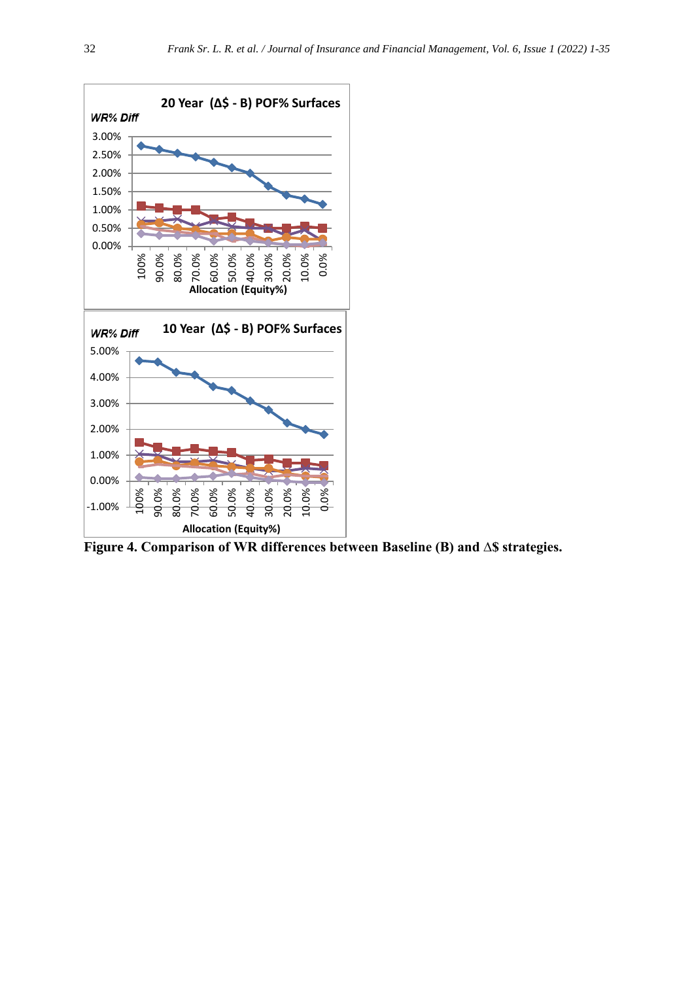

**Figure 4. Comparison of WR differences between Baseline (B) and ∆\$ strategies.**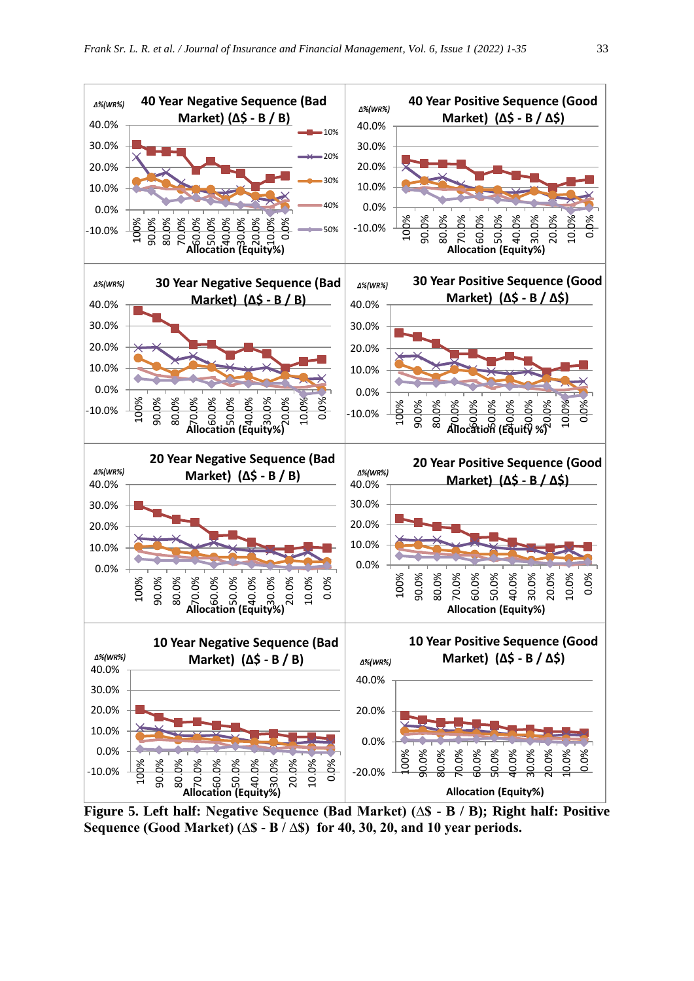

**Figure 5. Left half: Negative Sequence (Bad Market) (∆\$ - B / B); Right half: Positive Sequence (Good Market) (∆\$ - B / ∆\$) for 40, 30, 20, and 10 year periods.**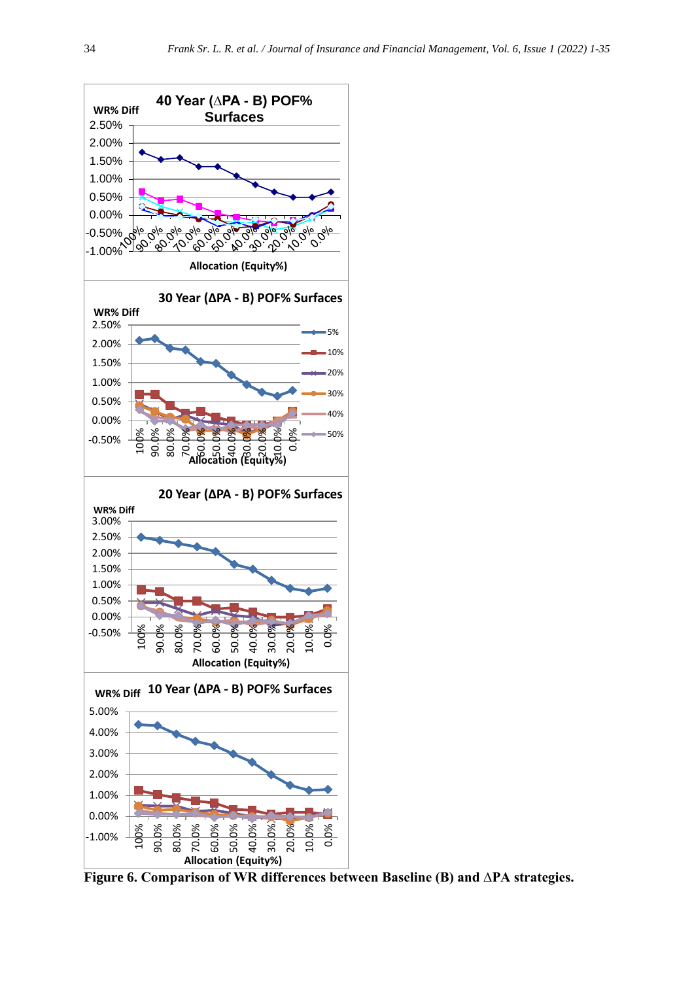

**Figure 6. Comparison of WR differences between Baseline (B) and ∆PA strategies.**